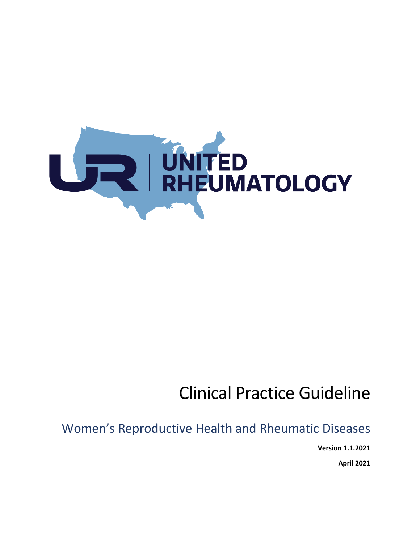

# Clinical Practice Guideline

Women's Reproductive Health and Rheumatic Diseases

**Version 1.1.2021**

**April 2021**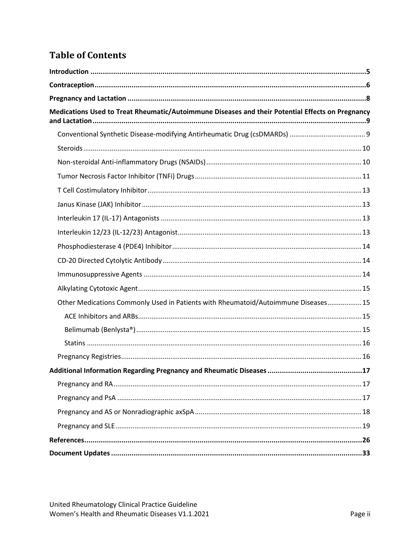# **Table of Contents**

| Medications Used to Treat Rheumatic/Autoimmune Diseases and their Potential Effects on Pregnancy |  |
|--------------------------------------------------------------------------------------------------|--|
|                                                                                                  |  |
|                                                                                                  |  |
|                                                                                                  |  |
|                                                                                                  |  |
|                                                                                                  |  |
|                                                                                                  |  |
|                                                                                                  |  |
|                                                                                                  |  |
|                                                                                                  |  |
|                                                                                                  |  |
|                                                                                                  |  |
|                                                                                                  |  |
| Other Medications Commonly Used in Patients with Rheumatoid/Autoimmune Diseases 15               |  |
|                                                                                                  |  |
|                                                                                                  |  |
|                                                                                                  |  |
|                                                                                                  |  |
|                                                                                                  |  |
|                                                                                                  |  |
|                                                                                                  |  |
|                                                                                                  |  |
|                                                                                                  |  |
|                                                                                                  |  |
|                                                                                                  |  |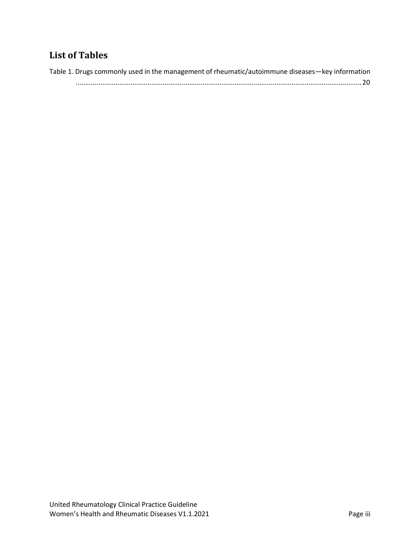# **List of Tables**

| Table 1. Drugs commonly used in the management of rheumatic/autoimmune diseases—key information |
|-------------------------------------------------------------------------------------------------|
| $20$                                                                                            |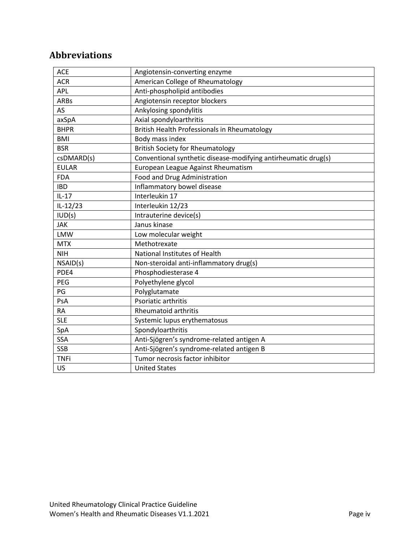# **Abbreviations**

| <b>ACE</b>   | Angiotensin-converting enzyme                                  |
|--------------|----------------------------------------------------------------|
| <b>ACR</b>   | American College of Rheumatology                               |
| APL          | Anti-phospholipid antibodies                                   |
| <b>ARBs</b>  | Angiotensin receptor blockers                                  |
| AS           | Ankylosing spondylitis                                         |
| axSpA        | Axial spondyloarthritis                                        |
| <b>BHPR</b>  | British Health Professionals in Rheumatology                   |
| <b>BMI</b>   | Body mass index                                                |
| <b>BSR</b>   | <b>British Society for Rheumatology</b>                        |
| csDMARD(s)   | Conventional synthetic disease-modifying antirheumatic drug(s) |
| <b>EULAR</b> | European League Against Rheumatism                             |
| <b>FDA</b>   | Food and Drug Administration                                   |
| <b>IBD</b>   | Inflammatory bowel disease                                     |
| $IL-17$      | Interleukin 17                                                 |
| $IL-12/23$   | Interleukin 12/23                                              |
| IUD(s)       | Intrauterine device(s)                                         |
| <b>JAK</b>   | Janus kinase                                                   |
| <b>LMW</b>   | Low molecular weight                                           |
| <b>MTX</b>   | Methotrexate                                                   |
| <b>NIH</b>   | National Institutes of Health                                  |
| NSAID(s)     | Non-steroidal anti-inflammatory drug(s)                        |
| PDE4         | Phosphodiesterase 4                                            |
| PEG          | Polyethylene glycol                                            |
| PG           | Polyglutamate                                                  |
| PsA          | Psoriatic arthritis                                            |
| <b>RA</b>    | <b>Rheumatoid arthritis</b>                                    |
| <b>SLE</b>   | Systemic lupus erythematosus                                   |
| SpA          | Spondyloarthritis                                              |
| <b>SSA</b>   | Anti-Sjögren's syndrome-related antigen A                      |
| <b>SSB</b>   | Anti-Sjögren's syndrome-related antigen B                      |
| <b>TNFi</b>  | Tumor necrosis factor inhibitor                                |
| <b>US</b>    | <b>United States</b>                                           |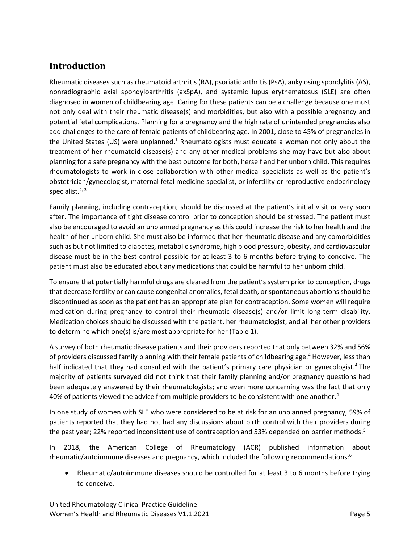# <span id="page-4-0"></span>**Introduction**

Rheumatic diseases such as rheumatoid arthritis (RA), psoriatic arthritis (PsA), ankylosing spondylitis (AS), nonradiographic axial spondyloarthritis (axSpA), and systemic lupus erythematosus (SLE) are often diagnosed in women of childbearing age. Caring for these patients can be a challenge because one must not only deal with their rheumatic disease(s) and morbidities, but also with a possible pregnancy and potential fetal complications. Planning for a pregnancy and the high rate of unintended pregnancies also add challenges to the care of female patients of childbearing age. In 2001, close to 45% of pregnancies in the United States (US) were unplanned[.](#page-25-1)<sup>1</sup> Rheumatologists must educate a woman not only about the treatment of her rheumatoid disease(s) and any other medical problems she may have but also about planning for a safe pregnancy with the best outcome for both, herself and her unborn child. This requires rheumatologists to work in close collaboration with other medical specialists as well as the patient's obstetrician/gynecologist, maternal fetal medicine specialist, or infertility or reproductive endocrinology specialist.<sup>[2,](#page-25-2) [3](#page-25-3)</sup>

Family planning, including contraception, should be discussed at the patient's initial visit or very soon after. The importance of tight disease control prior to conception should be stressed. The patient must also be encouraged to avoid an unplanned pregnancy as this could increase the risk to her health and the health of her unborn child. She must also be informed that her rheumatic disease and any comorbidities such as but not limited to diabetes, metabolic syndrome, high blood pressure, obesity, and cardiovascular disease must be in the best control possible for at least 3 to 6 months before trying to conceive. The patient must also be educated about any medications that could be harmful to her unborn child.

To ensure that potentially harmful drugs are cleared from the patient's system prior to conception, drugs that decrease fertility or can cause congenital anomalies, fetal death, or spontaneous abortions should be discontinued as soon as the patient has an appropriate plan for contraception. Some women will require medication during pregnancy to control their rheumatic disease(s) and/or limit long-term disability. Medication choices should be discussed with the patient, her rheumatologist, and all her other providers to determine which one(s) is/are most appropriate for her [\(Table](#page-19-0) 1).

A survey of both rheumatic disease patients and their providers reported that only between 32% and 56% of providers discussed family planning with their female patients of childbearing age.<sup>[4](#page-25-4)</sup> However, less than half indicated that they had consulted with the patient's primary care physician or gynecologist[.](#page-25-4)<sup>4</sup> The majority of patients surveyed did not think that their family planning and/or pregnancy questions had been adequately answered by their rheumatologists; and even more concerning was the fact that only 40% of patients viewed the advice from multiple providers to be consistent with one another[.](#page-25-4)<sup>4</sup>

In one study of women with SLE who were considered to be at risk for an unplanned pregnancy, 59% of patients reported that they had not had any discussions about birth control with their providers during the past year; 22% reported inconsistent use of contraception and 53% depended on barrier methods[.](#page-25-5)<sup>5</sup>

In 2018, the American College of Rheumatology (ACR) published information about rheumatic/autoimmune diseases and pregnancy, which included the following recommendations[:](#page-25-6)<sup>6</sup>

• Rheumatic/autoimmune diseases should be controlled for at least 3 to 6 months before trying to conceive.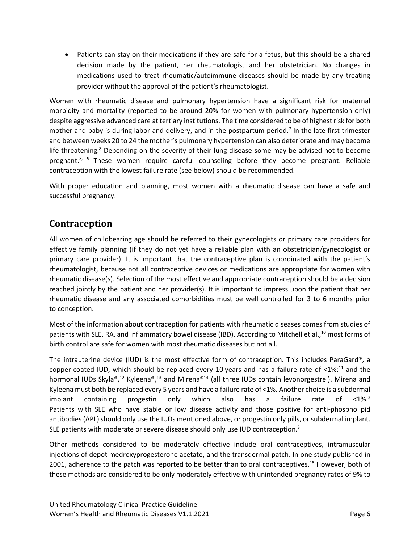• Patients can stay on their medications if they are safe for a fetus, but this should be a shared decision made by the patient, her rheumatologist and her obstetrician. No changes in medications used to treat rheumatic/autoimmune diseases should be made by any treating provider without the approval of the patient's rheumatologist.

Women with rheumatic disease and pulmonary hypertension have a significant risk for maternal morbidity and mortality (reported to be around 20% for women with pulmonary hypertension only) despite aggressive advanced care at tertiary institutions. The time considered to be of highest risk for both mother and baby is during labor and delivery, and in the postpartum period. [7](#page-25-7) In the late first trimester and between weeks 20 to 24 the mother's pulmonary hypertension can also deteriorate and may become life threatening[.](#page-25-8)<sup>8</sup> Depending on the severity of their lung disease some may be advised not to become pregnant.<sup>[3,](#page-25-3) [9](#page-25-9)</sup> These women require careful counseling before they become pregnant. Reliable contraception with the lowest failure rate (see below) should be recommended.

With proper education and planning, most women with a rheumatic disease can have a safe and successful pregnancy.

# <span id="page-5-0"></span>**Contraception**

All women of childbearing age should be referred to their gynecologists or primary care providers for effective family planning (if they do not yet have a reliable plan with an obstetrician/gynecologist or primary care provider). It is important that the contraceptive plan is coordinated with the patient's rheumatologist, because not all contraceptive devices or medications are appropriate for women with rheumatic disease(s). Selection of the most effective and appropriate contraception should be a decision reached jointly by the patient and her provider(s). It is important to impress upon the patient that her rheumatic disease and any associated comorbidities must be well controlled for 3 to 6 months prior to conception.

Most of the information about contraception for patients with rheumatic diseases comes from studies of patients with SLE, RA, and inflammatory bowel disease (IBD). According to Mitchell et al.,<sup>[10](#page-25-10)</sup> most forms of birth control are safe for women with most rheumatic diseases but not all.

The intrauterine device (IUD) is the most effective form of contraception. This includes ParaGard®, a copper-coated IUD, which should be replaced every 10 years and has a failure rate of  $\leq 1\%$ ;<sup>[11](#page-25-11)</sup> and the hormonal IUDs Skyla®,<sup>[12](#page-25-12)</sup> Kyleena®,<sup>[13](#page-25-13)</sup> and Mirena®<sup>[14](#page-25-14)</sup> (all three IUDs contain levonorgestrel). Mirena and Kyleena must both be replaced every 5 years and have a failure rate of <1%. Another choice is a subdermal implant containing progestin only which also has a failure rate of <1%[.](#page-25-3)<sup>3</sup> Patients with SLE who have stable or low disease activity and those positive for anti-phospholipid antibodies (APL) should only use the IUDs mentioned above, or progestin only pills, or subdermal implant. SLE patients with moderate or severe disease should only use IUD contraception.<sup>3</sup>

Other methods considered to be moderately effective include oral contraceptives, intramuscular injections of depot medroxyprogesterone acetate, and the transdermal patch. In one study published in 2001, adherence to the patch was reported to be better than to oral contraceptives. [15](#page-26-0) However, both of these methods are considered to be only moderately effective with unintended pregnancy rates of 9% to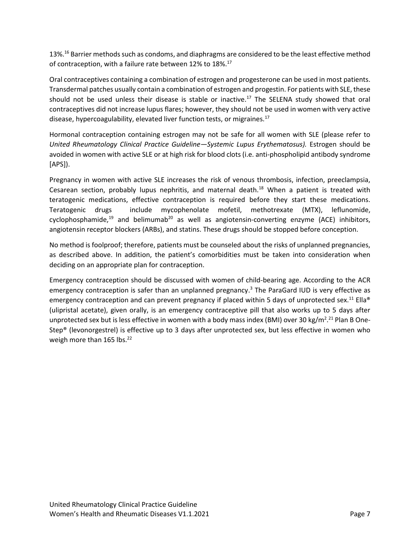13%.<sup>[16](#page-26-1)</sup> Barrier methods such as condoms, and diaphragms are considered to be the least effective method of contraception, with a failure rate between 12% to 18%.<sup>[17](#page-26-2)</sup>

Oral contraceptives containing a combination of estrogen and progesterone can be used in most patients. Transdermal patches usually contain a combination of estrogen and progestin. For patients with SLE, these should not be used unless their disease is stable or inactive.<sup>[17](#page-26-2)</sup> The SELENA study showed that oral contraceptives did not increase lupus flares; however, they should not be used in women with very active disease, hypercoagulability, elevated liver function tests, or migraines.<sup>[17](#page-26-2)</sup>

Hormonal contraception containing estrogen may not be safe for all women with SLE (please refer to *United Rheumatology Clinical Practice Guideline—Systemic Lupus Erythematosus).* Estrogen should be avoided in women with active SLE or at high risk for blood clots (i.e. anti-phospholipid antibody syndrome [APS]).

Pregnancy in women with active SLE increases the risk of venous thrombosis, infection, preeclampsia, Cesarean section, probably lupus nephritis, and maternal death.<sup>[18](#page-26-3)</sup> When a patient is treated with teratogenic medications, effective contraception is required before they start these medications. Teratogenic drugs include mycophenolate mofetil, methotrexate (MTX), leflunomide, cyclophosphamide,<sup>[19](#page-26-4)</sup> and belimumab<sup>[20](#page-26-5)</sup> as well as angiotensin-converting enzyme (ACE) inhibitors, angiotensin receptor blockers (ARBs), and statins. These drugs should be stopped before conception.

No method is foolproof; therefore, patients must be counseled about the risks of unplanned pregnancies, as described above. In addition, the patient's comorbidities must be taken into consideration when deciding on an appropriate plan for contraception.

Emergency contraception should be discussed with women of child-bearing age. According to the ACR emergency contraception is safer than an unplanned pregnancy[.](#page-25-3) <sup>3</sup> The ParaGard IUD is very effective as emergency contraception and can prevent pregnancy if placed within 5 days of unprotected sex.<sup>[11](#page-25-11)</sup> Ella® (ulipristal acetate), given orally, is an emergency contraceptive pill that also works up to 5 days after unprotected sex but is less effective in women with a body mass index (BMI) over 30 kg/m<sup>2</sup>.<sup>[21](#page-26-6)</sup> Plan B One-Step® (levonorgestrel) is effective up to 3 days after unprotected sex, but less effective in women who weigh more than 165 lbs.<sup>[22](#page-26-7)</sup>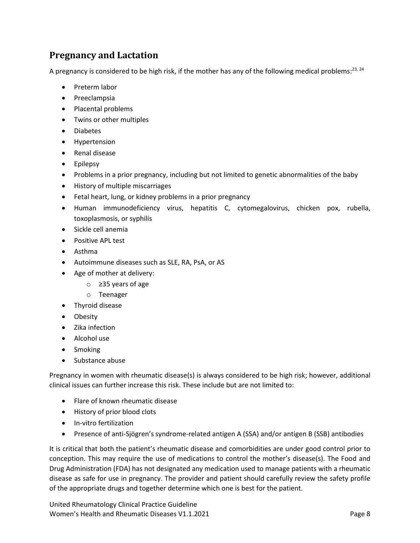# <span id="page-7-0"></span>**Pregnancy and Lactation**

A pregnancy is considered to be high risk, if the mother has any of the following medical problems:<sup>[23,](#page-26-8) [24](#page-26-9)</sup>

- Preterm labor
- Preeclampsia
- Placental problems
- Twins or other multiples
- Diabetes
- Hypertension
- Renal disease
- Epilepsy
- Problems in a prior pregnancy, including but not limited to genetic abnormalities of the baby
- History of multiple miscarriages
- Fetal heart, lung, or kidney problems in a prior pregnancy
- Human immunodeficiency virus, hepatitis C, cytomegalovirus, chicken pox, rubella, toxoplasmosis, or syphilis
- Sickle cell anemia
- Positive APL test
- Asthma
- Autoimmune diseases such as SLE, RA, PsA, or AS
- Age of mother at delivery:
	- o ≥35 years of age
	- o Teenager
- Thyroid disease
- Obesity
- Zika infection
- Alcohol use
- Smoking
- Substance abuse

Pregnancy in women with rheumatic disease(s) is always considered to be high risk; however, additional clinical issues can further increase this risk. These include but are not limited to:

- Flare of known rheumatic disease
- History of prior blood clots
- In-vitro fertilization
- Presence of anti-Sjögren's syndrome-related antigen A (SSA) and/or antigen B (SSB) antibodies

It is critical that both the patient's rheumatic disease and comorbidities are under good control prior to conception. This may require the use of medications to control the mother's disease(s). The Food and Drug Administration (FDA) has not designated any medication used to manage patients with a rheumatic disease as safe for use in pregnancy. The provider and patient should carefully review the safety profile of the appropriate drugs and together determine which one is best for the patient.

United Rheumatology Clinical Practice Guideline Women's Health and Rheumatic Diseases V1.1.2021 **Page 8** and the United States of Page 8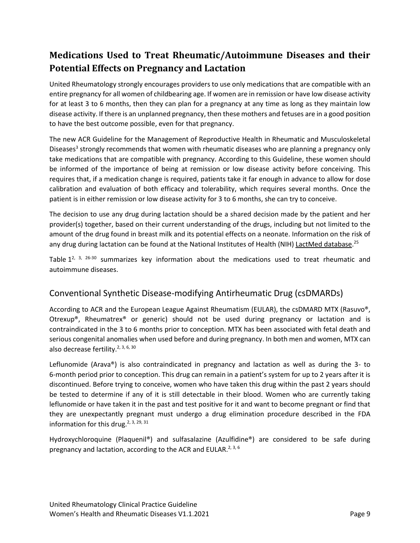# <span id="page-8-0"></span>**Medications Used to Treat Rheumatic/Autoimmune Diseases and their Potential Effects on Pregnancy and Lactation**

United Rheumatology strongly encourages providers to use only medications that are compatible with an entire pregnancy for all women of childbearing age. If women are in remission or have low disease activity for at least 3 to 6 months, then they can plan for a pregnancy at any time as long as they maintain low disease activity. If there is an unplanned pregnancy, then these mothers and fetuses are in a good position to have the best outcome possible, even for that pregnancy.

The new ACR Guideline for the Management of Reproductive Health in Rheumatic and Musculoskeletal Di[s](#page-25-3)eases<sup>3</sup> strongly recommends that women with rheumatic diseases who are planning a pregnancy only take medications that are compatible with pregnancy. According to this Guideline, these women should be informed of the importance of being at remission or low disease activity before conceiving. This requires that, if a medication change is required, patients take it far enough in advance to allow for dose calibration and evaluation of both efficacy and tolerability, which requires several months. Once the patient is in either remission or low disease activity for 3 to 6 months, she can try to conceive.

The decision to use any drug during lactation should be a shared decision made by the patient and her provider(s) together, based on their current understanding of the drugs, including but not limited to the amount of the drug found in breast milk and its potential effects on a neonate. Information on the risk of any drug during lactation can be found at the National Institutes of Health (NIH) [LactMed database.](https://toxnet.nlm.nih.gov/newtoxnet/lactmed.htm)<sup>[25](#page-26-10)</sup>

[Table](#page-19-0)  $1^{2, 3, 26-30}$  $1^{2, 3, 26-30}$  $1^{2, 3, 26-30}$  $1^{2, 3, 26-30}$  $1^{2, 3, 26-30}$  summarizes key information about the medications used to treat rheumatic and autoimmune diseases.

## <span id="page-8-1"></span>Conventional Synthetic Disease-modifying Antirheumatic Drug (csDMARDs)

According to ACR and the European League Against Rheumatism (EULAR), the csDMARD MTX (Rasuvo®, Otrexup®, Rheumatrex® or generic) should not be used during pregnancy or lactation and is contraindicated in the 3 to 6 months prior to conception. MTX has been associated with fetal death and serious congenital anomalies when used before and during pregnancy. In both men and women, MTX can also decrease fertility.<sup>[2,](#page-25-2) [3,](#page-25-3) [6,](#page-25-6) [30](#page-26-12)</sup>

Leflunomide (Arava®) is also contraindicated in pregnancy and lactation as well as during the 3- to 6-month period prior to conception. This drug can remain in a patient's system for up to 2 years after it is discontinued. Before trying to conceive, women who have taken this drug within the past 2 years should be tested to determine if any of it is still detectable in their blood. Women who are currently taking leflunomide or have taken it in the past and test positive for it and want to become pregnant or find that they are unexpectantly pregnant must undergo a drug elimination procedure described in the [FDA](https://www.accessdata.fda.gov/drugsatfda_docs/label/2015/020905s027lbl.pdf)  [information for this drug.](https://www.accessdata.fda.gov/drugsatfda_docs/label/2015/020905s027lbl.pdf)<sup>[2,](#page-25-2) [3,](#page-25-3) [29,](#page-26-13) [31](#page-27-0)</sup>

Hydroxychloroquine (Plaquenil®) and sulfasalazine (Azulfidine®) are considered to be safe during pregnancy and lactation, according to the ACR and EULAR.<sup>[2,](#page-25-2) [3,](#page-25-3) [6](#page-25-6)</sup>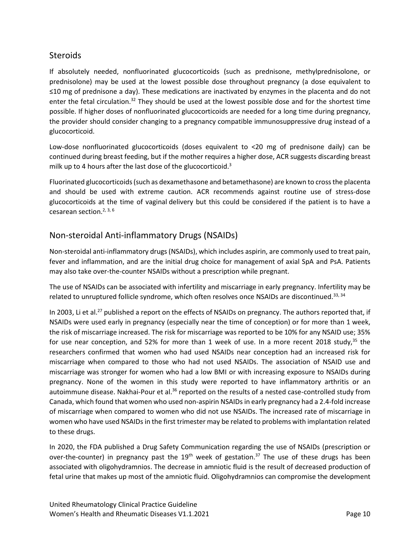#### <span id="page-9-0"></span>**Steroids**

If absolutely needed, nonfluorinated glucocorticoids (such as prednisone, methylprednisolone, or prednisolone) may be used at the lowest possible dose throughout pregnancy (a dose equivalent to ≤10 mg of prednisone a day). These medications are inactivated by enzymes in the placenta and do not enter the fetal circulation.<sup>[32](#page-27-1)</sup> They should be used at the lowest possible dose and for the shortest time possible. If higher doses of nonfluorinated glucocorticoids are needed for a long time during pregnancy, the provider should consider changing to a pregnancy compatible immunosuppressive drug instead of a glucocorticoid.

Low-dose nonfluorinated glucocorticoids (doses equivalent to <20 mg of prednisone daily) can be continued during breast feeding, but if the mother requires a higher dose, ACR suggests discarding breast milk up to 4 hours after the last dose of the glucocorticoid.<sup>[3](#page-25-3)</sup>

Fluorinated glucocorticoids(such as dexamethasone and betamethasone) are known to cross the placenta and should be used with extreme caution. ACR recommends against routine use of stress-dose glucocorticoids at the time of vaginal delivery but this could be considered if the patient is to have a cesarean section. [2,](#page-25-2) [3,](#page-25-3) [6](#page-25-6)

# <span id="page-9-1"></span>Non-steroidal Anti-inflammatory Drugs (NSAIDs)

Non-steroidal anti-inflammatory drugs (NSAIDs), which includes aspirin, are commonly used to treat pain, fever and inflammation, and are the initial drug choice for management of axial SpA and PsA. Patients may also take over-the-counter NSAIDs without a prescription while pregnant.

The use of NSAIDs can be associated with infertility and miscarriage in early pregnancy. Infertility may be related to unruptured follicle syndrome, which often resolves once NSAIDs are discontinued.<sup>[33,](#page-27-2) [34](#page-27-3)</sup>

In 2003, Li et al.<sup>[27](#page-26-14)</sup> published a report on the effects of NSAIDs on pregnancy. The authors reported that, if NSAIDs were used early in pregnancy (especially near the time of conception) or for more than 1 week, the risk of miscarriage increased. The risk for miscarriage was reported to be 10% for any NSAID use; 35% for use near conception, and 52% for more than 1 week of use. In a more recent 2018 study,<sup>[35](#page-27-4)</sup> the researchers confirmed that women who had used NSAIDs near conception had an increased risk for miscarriage when compared to those who had not used NSAIDs. The association of NSAID use and miscarriage was stronger for women who had a low BMI or with increasing exposure to NSAIDs during pregnancy. None of the women in this study were reported to have inflammatory arthritis or an autoimmune disease. Nakhai-Pour et al.<sup>[36](#page-27-5)</sup> reported on the results of a nested case-controlled study from Canada, which found that women who used non-aspirin NSAIDs in early pregnancy had a 2.4-fold increase of miscarriage when compared to women who did not use NSAIDs. The increased rate of miscarriage in women who have used NSAIDs in the first trimester may be related to problems with implantation related to these drugs.

In 2020, the FDA published a Drug Safety Communication regarding the use of NSAIDs (prescription or over-the-counter) in pregnancy past the 19<sup>th</sup> week of gestation.<sup>[37](#page-27-6)</sup> The use of these drugs has been associated with oligohydramnios. The decrease in amniotic fluid is the result of decreased production of fetal urine that makes up most of the amniotic fluid. Oligohydramnios can compromise the development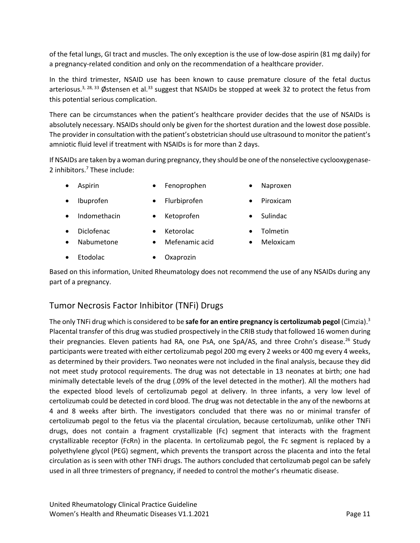of the fetal lungs, GI tract and muscles. The only exception is the use of low-dose aspirin (81 mg daily) for a pregnancy-related condition and only on the recommendation of a healthcare provider.

In the third trimester, NSAID use has been known to cause premature closure of the fetal ductus arteriosus.<sup>[3,](#page-25-3) [28,](#page-26-15) [33](#page-27-2)</sup> Østensen et al.<sup>[33](#page-27-2)</sup> suggest that NSAIDs be stopped at week 32 to protect the fetus from this potential serious complication.

There can be circumstances when the patient's healthcare provider decides that the use of NSAIDs is absolutely necessary. NSAIDs should only be given for the shortest duration and the lowest dose possible. The provider in consultation with the patient's obstetrician should use ultrasound to monitor the patient's amniotic fluid level if treatment with NSAIDs is for more than 2 days.

If NSAIDs are taken by a woman during pregnancy, they should be one of the nonselective cyclooxygenase-2 inhibitors. <sup>7</sup> These include:

- 
- Aspirin Fenoprophen Naproxen
	-
- Ibuprofen Flurbiprofen Piroxicam
- Indomethacin Ketoprofen Sulindac
- 

- Diclofenac
- Ketorolac • Mefenamic acid
- Tolmetin • Meloxicam
- Nabumetone
	- Etodolac Oxaprozin

Based on this information, United Rheumatology does not recommend the use of any NSAIDs during any part of a pregnancy.

## <span id="page-10-0"></span>Tumor Necrosis Factor Inhibitor (TNFi) Drugs

The only TNFi drug which is considered to be **safe for an entire pregnancy is certolizumab pegol** (Cimzia).<sup>3</sup> Placental transfer of this drug was studied prospectively in the CRIB study that followed 16 women during their pregnancies. Eleven patients had RA, one PsA, one SpA/AS, and three Crohn's disease.<sup>[26](#page-26-11)</sup> Study participants were treated with either certolizumab pegol 200 mg every 2 weeks or 400 mg every 4 weeks, as determined by their providers. Two neonates were not included in the final analysis, because they did not meet study protocol requirements. The drug was not detectable in 13 neonates at birth; one had minimally detectable levels of the drug (.09% of the level detected in the mother). All the mothers had the expected blood levels of certolizumab pegol at delivery. In three infants, a very low level of certolizumab could be detected in cord blood. The drug was not detectable in the any of the newborns at 4 and 8 weeks after birth. The investigators concluded that there was no or minimal transfer of certolizumab pegol to the fetus via the placental circulation, because certolizumab, unlike other TNFi drugs, does not contain a fragment crystallizable (Fc) segment that interacts with the fragment crystallizable receptor (FcRn) in the placenta. In certolizumab pegol, the Fc segment is replaced by a polyethylene glycol (PEG) segment, which prevents the transport across the placenta and into the fetal circulation as is seen with other TNFi drugs. The authors concluded that certolizumab pegol can be safely used in all three trimesters of pregnancy, if needed to control the mother's rheumatic disease.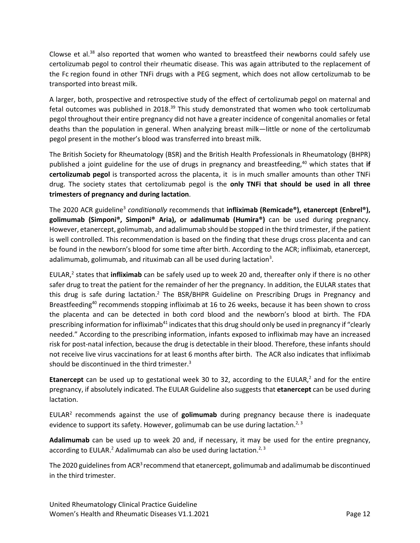Clowse et al. $38$  also reported that women who wanted to breastfeed their newborns could safely use certolizumab pegol to control their rheumatic disease. This was again attributed to the replacement of the Fc region found in other TNFi drugs with a PEG segment, which does not allow certolizumab to be transported into breast milk.

A larger, both, prospective and retrospective study of the effect of certolizumab pegol on maternal and fetal outcomes was published in 2018.<sup>[39](#page-27-8)</sup> This study demonstrated that women who took certolizumab pegol throughout their entire pregnancy did not have a greater incidence of congenital anomalies or fetal deaths than the population in general. When analyzing breast milk—little or none of the certolizumab pegol present in the mother's blood was transferred into breast milk.

The British Society for Rheumatology (BSR) and the British Health Professionals in Rheumatology (BHPR) published a joint guideline for the use of drugs in pregnancy and breastfeeding, [40](#page-27-9) which states that **if certolizumab pegol** is transported across the placenta, it is in much smaller amounts than other TNFi drug. The society states that certolizumab pegol is the **only TNFi that should be used in all three trimesters of pregnancy and during lactation**.

Th[e](#page-25-3) 2020 ACR guideline<sup>3</sup> conditionally recommends that **infliximab (Remicade®), etanercept (Enbrel®), golimumab (Simponi®, Simponi® Aria), or adalimumab (Humira®)** can be used during pregnancy. However, etanercept, golimumab, and adalimumab should be stopped in the third trimester, if the patient is well controlled. This recommendation is based on the finding that these drugs cross placenta and can be found in the newborn's blood for some time after birth. According to the ACR; infliximab, etanercept, adalimumab, golimumab, and rituximab can all be used during lactation<sup>3</sup>.

EULAR[,](#page-25-2) 2 states that **infliximab** can be safely used up to week 20 and, thereafter only if there is no other safer drug to treat the patient for the remainder of her the pregnancy. In addition, the EULAR states that this drug is safe during lactation.<sup>[2](#page-25-2)</sup> The BSR/BHPR Guideline on Prescribing Drugs in Pregnancy and Breastfeeding<sup>[40](#page-27-9)</sup> recommends stopping infliximab at 16 to 26 weeks, because it has been shown to cross the placenta and can be detected in both cord blood and the newborn's blood at birth. The FDA prescribing information for infliximab<sup>[41](#page-27-10)</sup> indicates that this drug should only be used in pregnancy if "clearly needed." According to the prescribing information, infants exposed to infliximab may have an increased risk for post-natal infection, because the drug is detectable in their blood. Therefore, these infants should not receive live virus vaccinations for at least 6 months after birth. The ACR also indicates that infliximab should be discontinued in the third trimester. $3$ 

**Etanercept** can be used up to gestational week 30 to 32, according to the EULAR[,](#page-25-2) <sup>2</sup> and for the entire pregnancy, if absolutely indicated. The EULAR Guideline also suggests that **etanercept** can be used during lactation.

EULA[R](#page-25-2)<sup>2</sup> recommends against the use of **golimumab** during pregnancy because there is inadequate evidence to support its safety. However, golimumab can be use during lactation.<sup>[2,](#page-25-2) [3](#page-25-3)</sup>

**Adalimumab** can be used up to week 20 and, if necessary, it may be used for the entire pregnancy, according to EULAR[.](#page-25-2)<sup>2</sup> Adalimumab can also be used during lactation.<sup>[2,](#page-25-2) [3](#page-25-3)</sup>

The 2020 guidelines from ACR<sup>3</sup> recommend that etanercept, golimumab and adalimumab be discontinued in the third trimester.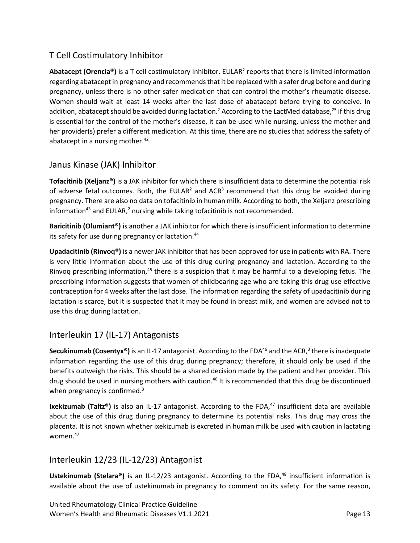## <span id="page-12-0"></span>T Cell Costimulatory Inhibitor

Abatacept (Orencia®) is a T cell costimulatory inhibitor. EULA[R](#page-25-2)<sup>2</sup> reports that there is limited information regarding abatacept in pregnancy and recommends that it be replaced with a safer drug before and during pregnancy, unless there is no other safer medication that can control the mother's rheumatic disease. Women should wait at least 14 weeks after the last dose of abatacept before trying to conceive. In addition, abatacept should be avoided during lactation[.](#page-25-2)<sup>2</sup> According to the <u>LactMed database</u>,<sup>[25](#page-26-10)</sup> if this drug is essential for the control of the mother's disease, it can be used while nursing, unless the mother and her provider(s) prefer a different medication. At this time, there are no studies that address the safety of abatacept in a nursing mother. $42$ 

#### <span id="page-12-1"></span>Janus Kinase (JAK) Inhibitor

**Tofacitinib (Xeljanz®)** is a JAK inhibitor for which there is insufficient data to determine the potential risk of adverse fetal outcomes. Both, the EULA[R](#page-25-2)<sup>2</sup> and ACR<sup>[3](#page-25-3)</sup> recommend that this drug be avoided during pregnancy. There are also no data on tofacitinib in human milk. According to both, the Xeljanz prescribing information<sup>[43](#page-27-12)</sup> and EULAR[,](#page-25-2)<sup>2</sup> nursing while taking tofacitinib is not recommended.

**Baricitinib (Olumiant®)** is another a JAK inhibitor for which there is insufficient information to determine its safety for use during pregnancy or lactation.<sup>[44](#page-27-13)</sup>

**Upadacitinib (Rinvoq®)** is a newer JAK inhibitor that has been approved for use in patients with RA. There is very little information about the use of this drug during pregnancy and lactation. According to the Rinvoq prescribing information,<sup>[45](#page-28-0)</sup> there is a suspicion that it may be harmful to a developing fetus. The prescribing information suggests that women of childbearing age who are taking this drug use effective contraception for 4 weeks after the last dose. The information regarding the safety of upadacitinib during lactation is scarce, but it is suspected that it may be found in breast milk, and women are advised not to use this drug during lactation.

## <span id="page-12-2"></span>Interleukin 17 (IL-17) Antagonists

**Secukinumab (Cosentyx®)** is an IL-17 antagonist. According to the FDA<sup>[46](#page-28-1)</sup> and the ACR[,](#page-25-3)<sup>3</sup> there is inadequate information regarding the use of this drug during pregnancy; therefore, it should only be used if the benefits outweigh the risks. This should be a shared decision made by the patient and her provider. This drug should be used in nursing mothers with caution.<sup>[46](#page-28-1)</sup> It is recommended that this drug be discontinued when pregnancy is confirmed.<sup>3</sup>

Ixekizumab (Taltz®) is also an IL-17 antagonist. According to the FDA,<sup>[47](#page-28-2)</sup> insufficient data are available about the use of this drug during pregnancy to determine its potential risks. This drug may cross the placenta. It is not known whether ixekizumab is excreted in human milk be used with caution in lactating women.<sup>[47](#page-28-2)</sup>

#### <span id="page-12-3"></span>Interleukin 12/23 (IL-12/23) Antagonist

**Ustekinumab (Stelara®)** is an IL-12/23 antagonist. According to the FDA,<sup>[48](#page-28-3)</sup> insufficient information is available about the use of ustekinumab in pregnancy to comment on its safety. For the same reason,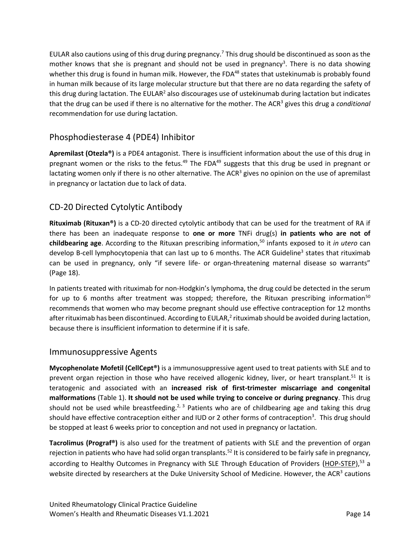EULAR also cautions using of this drug during pregnancy.<sup>7</sup> This drug should be discontinued as soon as the mother knows that she is pregnant and should not be used in pregnancy<sup>3</sup>. There is no data showing whether this drug is found in human milk. However, the FDA<sup>[48](#page-28-3)</sup> states that ustekinumab is probably found in human milk because of its large molecular structure but that there are no data regarding the safety of this drug during lactation. The EULAR<sup>[2](#page-25-2)</sup> also discourages use of ustekinumab during lactation but indicates that the drug can be used if there is no alternative for the mother. The AC[R](#page-25-3)<sup>3</sup> gives this drug a *conditional* recommendation for use during lactation.

## <span id="page-13-0"></span>Phosphodiesterase 4 (PDE4) Inhibitor

**Apremilast (Otezla®)** is a PDE4 antagonist. There is insufficient information about the use of this drug in pregnant women or the risks to the fetus.<sup>[49](#page-28-4)</sup> The FDA<sup>49</sup> suggests that this drug be used in pregnant or lactating women only if there is no other alternative. The ACR<sup>[3](#page-25-3)</sup> gives no opinion on the use of apremilast in pregnancy or lactation due to lack of data.

## <span id="page-13-1"></span>CD-20 Directed Cytolytic Antibody

**Rituximab (Rituxan®)** is a CD-20 directed cytolytic antibody that can be used for the treatment of RA if there has been an inadequate response to **one or more** TNFi drug(s) **in patients who are not of childbearing age**. According to the Rituxan prescribing information,[50](#page-28-5) infants exposed to it *in utero* can develop B-cell lymphocytopenia that can last up to 6 months. The ACR Guideline<sup>[3](#page-25-3)</sup> states that rituximab can be used in pregnancy, only "if severe life- or organ-threatening maternal disease so warrants" (Page 18).

In patients treated with rituximab for non-Hodgkin's lymphoma, the drug could be detected in the serum for up to 6 months after treatment was stopped; therefore, the Rituxan prescribing information<sup>[50](#page-28-5)</sup> recommends that women who may become pregnant should use effective contraception for 12 months after rituximab has been discontinued. According to EULAR[,](#page-25-2) $^2$  rituximab should be avoided during lactation, because there is insufficient information to determine if it is safe.

#### <span id="page-13-2"></span>Immunosuppressive Agents

**Mycophenolate Mofetil (CellCept®)** is a immunosuppressive agent used to treat patients with SLE and to prevent organ rejection in those who have received allogenic kidney, liver, or heart transplant.<sup>[51](#page-28-6)</sup> It is teratogenic and associated with an **increased risk of first-trimester miscarriage and congenital malformations** [\(Table](#page-19-0) 1). **It should not be used while trying to conceive or during pregnancy**. This drug should not be used while breastfeeding.<sup>[2,](#page-25-2) [3](#page-25-3)</sup> Patients who are of childbearing age and taking this drug should have effective contraception either and IUD or 2 other forms of contraception<sup>3</sup>. This drug should be stopped at least 6 weeks prior to conception and not used in pregnancy or lactation.

**Tacrolimus (Prograf®)** is also used for the treatment of patients with SLE and the prevention of organ rejection in patients who have had solid organ transplants.<sup>[52](#page-28-7)</sup> It is considered to be fairly safe in pregnancy, according to Healthy Outcomes in Pregnancy with SLE Through Education of Providers ([HOP-STEP\)](http://lupuspregnancy.org/about-hop-step/),<sup>[53](#page-28-8)</sup> a website directed by researchers at the Duke University School of Medicine. However, the ACR<sup>[3](#page-25-3)</sup> cautions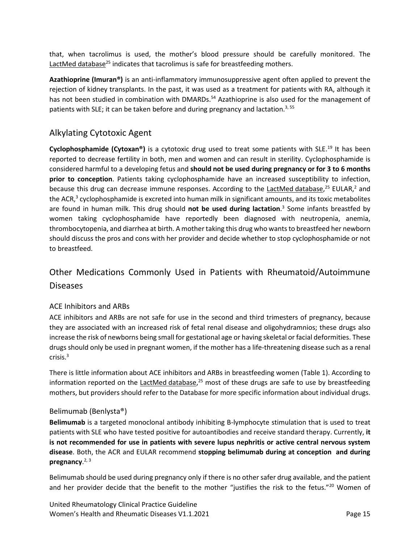that, when tacrolimus is used, the mother's blood pressure should be carefully monitored. The LactMed [database](https://toxnet.nlm.nih.gov/newtoxnet/lactmed.htm)<sup>[25](#page-26-10)</sup> indicates that tacrolimus is safe for breastfeeding mothers.

**Azathioprine (Imuran®)** is an anti-inflammatory immunosuppressive agent often applied to prevent the rejection of kidney transplants. In the past, it was used as a treatment for patients with RA, although it has not been studied in combination with DMARDs.<sup>[54](#page-28-9)</sup> Azathioprine is also used for the management of patients with SLE; it can be taken before and during pregnancy and lactation.<sup>[3,](#page-25-3) [55](#page-28-10)</sup>

#### <span id="page-14-0"></span>Alkylating Cytotoxic Agent

Cyclophosphamide (Cytoxan®) is a cytotoxic drug used to treat some patients with SLE.<sup>[19](#page-26-4)</sup> It has been reported to decrease fertility in both, men and women and can result in sterility. Cyclophosphamide is considered harmful to a developing fetus and **should not be used during pregnancy or for 3 to 6 months prior to conception**. Patients taking cyclophosphamide have an increased susceptibility to infection, because this drug can decrease immune responses. According to the LactMed [database,](https://toxnet.nlm.nih.gov/newtoxnet/lactmed.htm)<sup>[25](#page-26-10)</sup> EULAR[,](#page-25-2)<sup>2</sup> and the ACR[,](#page-25-3)<sup>3</sup> cyclophosphamide is excreted into human milk in significant amounts, and its toxic metabolites are found in human milk. This drug should **not be used during lactation**[.](#page-25-3) 3 Some infants breastfed by women taking cyclophosphamide have reportedly been diagnosed with neutropenia, anemia, thrombocytopenia, and diarrhea at birth. A mother taking this drug who wants to breastfeed her newborn should discuss the pros and cons with her provider and decide whether to stop cyclophosphamide or not to breastfeed.

# <span id="page-14-1"></span>Other Medications Commonly Used in Patients with Rheumatoid/Autoimmune Diseases

#### <span id="page-14-2"></span>ACE Inhibitors and ARBs

ACE inhibitors and ARBs are not safe for use in the second and third trimesters of pregnancy, because they are associated with an increased risk of fetal renal disease and oligohydramnios; these drugs also increase the risk of newborns being small for gestational age or having skeletal or facial deformities. These drugs should only be used in pregnant women, if the mother has a life-threatening disease such as a renal crisis. [3](#page-25-3)

There is little information about ACE inhibitors and ARBs in breastfeeding women [\(Table](#page-19-0) 1). According to information reported on the LactMed [database,](https://toxnet.nlm.nih.gov/newtoxnet/lactmed.htm)<sup>[25](#page-26-10)</sup> most of these drugs are safe to use by breastfeeding mothers, but providers should refer to the Database for more specific information about individual drugs.

#### <span id="page-14-3"></span>Belimumab (Benlysta®)

**Belimumab** is a targeted monoclonal antibody inhibiting B-lymphocyte stimulation that is used to treat patients with SLE who have tested positive for autoantibodies and receive standard therapy. Currently, **it is not recommended for use in patients with severe lupus nephritis or active central nervous system disease**. Both, the ACR and EULAR recommend **stopping belimumab during at conception and during pregnancy**. [2,](#page-25-2) [3](#page-25-3)

Belimumab should be used during pregnancy only if there is no other safer drug available, and the patient and her provider decide that the benefit to the mother "justifies the risk to the fetus."<sup>[20](#page-26-5)</sup> Women of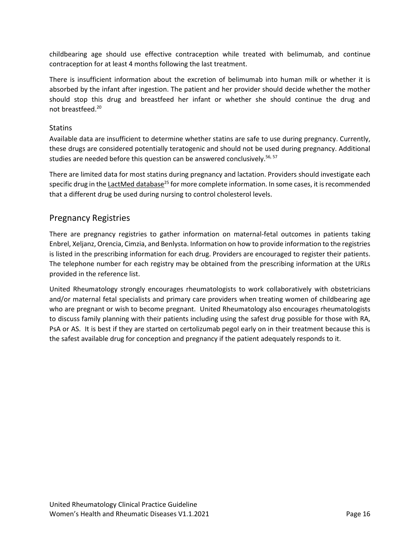childbearing age should use effective contraception while treated with belimumab, and continue contraception for at least 4 months following the last treatment.

There is insufficient information about the excretion of belimumab into human milk or whether it is absorbed by the infant after ingestion. The patient and her provider should decide whether the mother should stop this drug and breastfeed her infant or whether she should continue the drug and not breastfeed.[20](#page-26-5)

#### <span id="page-15-0"></span>**Statins**

Available data are insufficient to determine whether statins are safe to use during pregnancy. Currently, these drugs are considered potentially teratogenic and should not be used during pregnancy. Additional studies are needed before this question can be answered conclusively.<sup>[56,](#page-28-11) [57](#page-28-12)</sup>

There are limited data for most statins during pregnancy and lactation. Providers should investigate each specific drug in the **LactMed database<sup>[25](#page-26-10)</sup>** for more complete information. In some cases, it is recommended that a different drug be used during nursing to control cholesterol levels.

#### <span id="page-15-1"></span>Pregnancy Registries

There are pregnancy registries to gather information on maternal-fetal outcomes in patients taking Enbrel, Xeljanz, Orencia, Cimzia, and Benlysta. Information on how to provide information to the registries is listed in the prescribing information for each drug. Providers are encouraged to register their patients. The telephone number for each registry may be obtained from the prescribing information at the URLs provided in the reference list.

United Rheumatology strongly encourages rheumatologists to work collaboratively with obstetricians and/or maternal fetal specialists and primary care providers when treating women of childbearing age who are pregnant or wish to become pregnant. United Rheumatology also encourages rheumatologists to discuss family planning with their patients including using the safest drug possible for those with RA, PsA or AS. It is best if they are started on certolizumab pegol early on in their treatment because this is the safest available drug for conception and pregnancy if the patient adequately responds to it.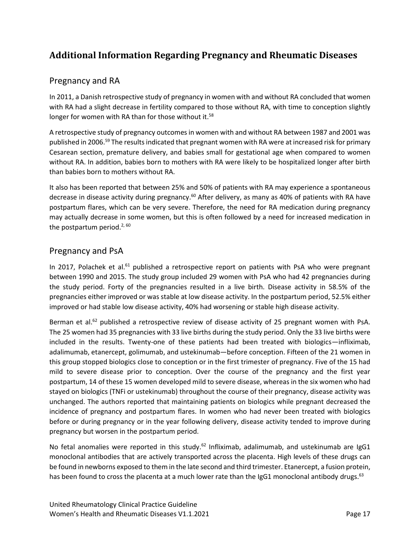# <span id="page-16-0"></span>**Additional Information Regarding Pregnancy and Rheumatic Diseases**

#### <span id="page-16-1"></span>Pregnancy and RA

In 2011, a Danish retrospective study of pregnancy in women with and without RA concluded that women with RA had a slight decrease in fertility compared to those without RA, with time to conception slightly longer for women with RA than for those without it.<sup>[58](#page-28-13)</sup>

A retrospective study of pregnancy outcomes in women with and without RA between 1987 and 2001 was published in 2006.<sup>[59](#page-28-14)</sup> The results indicated that pregnant women with RA were at increased risk for primary Cesarean section, premature delivery, and babies small for gestational age when compared to women without RA. In addition, babies born to mothers with RA were likely to be hospitalized longer after birth than babies born to mothers without RA.

It also has been reported that between 25% and 50% of patients with RA may experience a spontaneous decrease in disease activity during pregnancy.<sup>[60](#page-28-15)</sup> After delivery, as many as 40% of patients with RA have postpartum flares, which can be very severe. Therefore, the need for RA medication during pregnancy may actually decrease in some women, but this is often followed by a need for increased medication in the postpartum period.<sup>[2,](#page-25-2) [60](#page-28-15)</sup>

#### <span id="page-16-2"></span>Pregnancy and PsA

In 2017, Polachek et al.<sup>[61](#page-29-0)</sup> published a retrospective report on patients with PsA who were pregnant between 1990 and 2015. The study group included 29 women with PsA who had 42 pregnancies during the study period. Forty of the pregnancies resulted in a live birth. Disease activity in 58.5% of the pregnancies either improved or was stable at low disease activity. In the postpartum period, 52.5% either improved or had stable low disease activity, 40% had worsening or stable high disease activity.

Berman et al.<sup>[62](#page-29-1)</sup> published a retrospective review of disease activity of 25 pregnant women with PsA. The 25 women had 35 pregnancies with 33 live births during the study period. Only the 33 live births were included in the results. Twenty-one of these patients had been treated with biologics—infliximab, adalimumab, etanercept, golimumab, and ustekinumab—before conception. Fifteen of the 21 women in this group stopped biologics close to conception or in the first trimester of pregnancy. Five of the 15 had mild to severe disease prior to conception. Over the course of the pregnancy and the first year postpartum, 14 of these 15 women developed mild to severe disease, whereas in the six women who had stayed on biologics (TNFi or ustekinumab) throughout the course of their pregnancy, disease activity was unchanged. The authors reported that maintaining patients on biologics while pregnant decreased the incidence of pregnancy and postpartum flares. In women who had never been treated with biologics before or during pregnancy or in the year following delivery, disease activity tended to improve during pregnancy but worsen in the postpartum period.

No fetal anomalies were reported in this study.<sup>[62](#page-29-1)</sup> Infliximab, adalimumab, and ustekinumab are IgG1 monoclonal antibodies that are actively transported across the placenta. High levels of these drugs can be found in newborns exposed to them in the late second and third trimester. Etanercept, a fusion protein, has been found to cross the placenta at a much lower rate than the IgG1 monoclonal antibody drugs.<sup>[63](#page-29-2)</sup>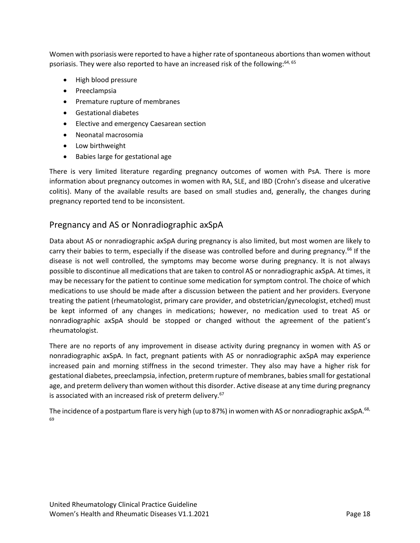Women with psoriasis were reported to have a higher rate of spontaneous abortions than women without psoriasis. They were also reported to have an increased risk of the following:<sup>[64,](#page-29-3) [65](#page-29-4)</sup>

- High blood pressure
- Preeclampsia
- Premature rupture of membranes
- Gestational diabetes
- Elective and emergency Caesarean section
- Neonatal macrosomia
- Low birthweight
- Babies large for gestational age

There is very limited literature regarding pregnancy outcomes of women with PsA. There is more information about pregnancy outcomes in women with RA, SLE, and IBD (Crohn's disease and ulcerative colitis). Many of the available results are based on small studies and, generally, the changes during pregnancy reported tend to be inconsistent.

#### <span id="page-17-0"></span>Pregnancy and AS or Nonradiographic axSpA

Data about AS or nonradiographic axSpA during pregnancy is also limited, but most women are likely to carry their babies to term, especially if the disease was controlled before and during pregnancy.<sup>[66](#page-29-5)</sup> If the disease is not well controlled, the symptoms may become worse during pregnancy. It is not always possible to discontinue all medications that are taken to control AS or nonradiographic axSpA. At times, it may be necessary for the patient to continue some medication for symptom control. The choice of which medications to use should be made after a discussion between the patient and her providers. Everyone treating the patient (rheumatologist, primary care provider, and obstetrician/gynecologist, etched) must be kept informed of any changes in medications; however, no medication used to treat AS or nonradiographic axSpA should be stopped or changed without the agreement of the patient's rheumatologist.

There are no reports of any improvement in disease activity during pregnancy in women with AS or nonradiographic axSpA. In fact, pregnant patients with AS or nonradiographic axSpA may experience increased pain and morning stiffness in the second trimester. They also may have a higher risk for gestational diabetes, preeclampsia, infection, preterm rupture of membranes, babies small for gestational age, and preterm delivery than women without this disorder. Active disease at any time during pregnancy is associated with an increased risk of preterm delivery.<sup>[67](#page-29-6)</sup>

The incidence of a postpartum flare is very high (up to 87%) in women with AS or nonradiographic axSpA.<sup>[68,](#page-29-7)</sup> [69](#page-29-8)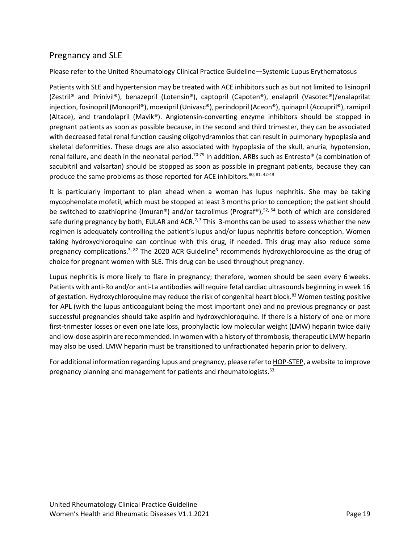#### <span id="page-18-0"></span>Pregnancy and SLE

#### Please refer to the United Rheumatology Clinical Practice Guideline—Systemic Lupus Erythematosus

Patients with SLE and hypertension may be treated with ACE inhibitors such as but not limited to lisinopril (Zestril® and Prinivil®), benazepril (Lotensin®), captopril (Capoten®), enalapril (Vasotec®)/enalaprilat injection, fosinopril (Monopril®), moexipril (Univasc®), perindopril (Aceon®), quinapril (Accupril®), ramipril (Altace), and trandolapril (Mavik®). Angiotensin-converting enzyme inhibitors should be stopped in pregnant patients as soon as possible because, in the second and third trimester, they can be associated with decreased fetal renal function causing oligohydramnios that can result in pulmonary hypoplasia and skeletal deformities. These drugs are also associated with hypoplasia of the skull, anuria, hypotension, renal failure, and death in the neonatal period.<sup>[70-79](#page-29-9)</sup> In addition, ARBs such as Entresto<sup>®</sup> (a combination of sacubitril and valsartan) should be stopped as soon as possible in pregnant patients, because they can produce the same problems as those reported for ACE inhibitors.<sup>[80,](#page-30-0) [81,](#page-30-1) 42-49</sup>

It is particularly important to plan ahead when a woman has lupus nephritis. She may be taking mycophenolate mofetil, which must be stopped at least 3 months prior to conception; the patient should be switched to azathioprine (Imuran®) and/or tacrolimus (Prograf®), [52,](#page-28-7) [54](#page-28-9) both of which are considered safe during pregnancy by both, EULAR and ACR.<sup>[2,](#page-25-2) [3](#page-25-3)</sup> This 3-months can be used to assess whether the new regimen is adequately controlling the patient's lupus and/or lupus nephritis before conception. Women taking hydroxychloroquine can continue with this drug, if needed. This drug may also reduce some pregnancy complications.<sup>[3,](#page-25-3) [82](#page-30-2)</sup> Th[e](#page-25-3) 2020 ACR Guideline<sup>3</sup> recommends hydroxychloroquine as the drug of choice for pregnant women with SLE. This drug can be used throughout pregnancy.

Lupus nephritis is more likely to flare in pregnancy; therefore, women should be seen every 6 weeks. Patients with anti-Ro and/or anti-La antibodies will require fetal cardiac ultrasounds beginning in week 16 of gestation. Hydroxychloroquine may reduce the risk of congenital heart block.<sup>[83](#page-30-3)</sup> Women testing positive for APL (with the lupus anticoagulant being the most important one) and no previous pregnancy or past successful pregnancies should take aspirin and hydroxychloroquine. If there is a history of one or more first-trimester losses or even one late loss, prophylactic low molecular weight (LMW) heparin twice daily and low-dose aspirin are recommended. In women with a history of thrombosis, therapeutic LMW heparin may also be used. LMW heparin must be transitioned to unfractionated heparin prior to delivery.

For additional information regarding lupus and pregnancy, please refer to **HOP-STEP**, a website to improve pregnancy planning and management for patients and rheumatologists.<sup>[53](#page-28-8)</sup>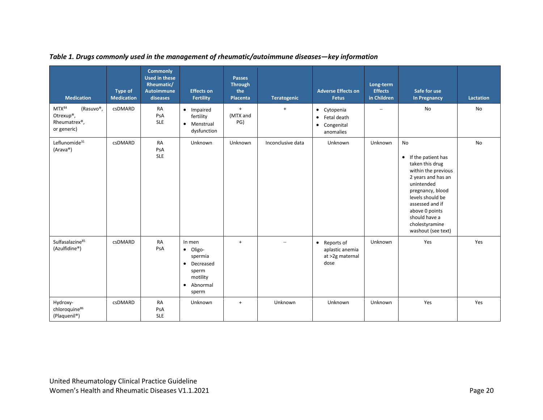<span id="page-19-0"></span>

| <b>Medication</b>                                              | <b>Type of</b><br><b>Medication</b> | <b>Commonly</b><br><b>Used in these</b><br>Rheumatic/<br><b>Autoimmune</b><br>diseases | <b>Effects on</b><br><b>Fertility</b>                                                                          | <b>Passes</b><br><b>Through</b><br>the<br>Placenta | Teratogenic       | <b>Adverse Effects on</b><br><b>Fetus</b>                                       | Long-term<br><b>Effects</b><br>in Children | Safe for use<br><b>In Pregnancy</b>                                                                                                                                                                                                                              | Lactation |
|----------------------------------------------------------------|-------------------------------------|----------------------------------------------------------------------------------------|----------------------------------------------------------------------------------------------------------------|----------------------------------------------------|-------------------|---------------------------------------------------------------------------------|--------------------------------------------|------------------------------------------------------------------------------------------------------------------------------------------------------------------------------------------------------------------------------------------------------------------|-----------|
| MTX84<br>(Rasuvo®,<br>Otrexup®,<br>Rheumatrex®,<br>or generic) | csDMARD                             | RA<br>PsA<br><b>SLE</b>                                                                | • Impaired<br>fertility<br>• Menstrual<br>dysfunction                                                          | $+$<br>(MTX and<br>PG)                             | $+$               | • Cytopenia<br>Fetal death<br>$\bullet$<br>Congenital<br>$\bullet$<br>anomalies |                                            | <b>No</b>                                                                                                                                                                                                                                                        | <b>No</b> |
| Leflunomide <sup>31</sup><br>(Arava®)                          | <b>csDMARD</b>                      | <b>RA</b><br>PsA<br><b>SLE</b>                                                         | Unknown                                                                                                        | Unknown                                            | Inconclusive data | Unknown                                                                         | Unknown                                    | <b>No</b><br>If the patient has<br>$\bullet$<br>taken this drug<br>within the previous<br>2 years and has an<br>unintended<br>pregnancy, blood<br>levels should be<br>assessed and if<br>above 0 points<br>should have a<br>cholestyramine<br>washout (see text) | <b>No</b> |
| Sulfasalazine <sup>85</sup><br>(Azulfidine®)                   | <b>csDMARD</b>                      | <b>RA</b><br>PsA                                                                       | In men<br>· Oligo-<br>spermia<br>Decreased<br>$\bullet$<br>sperm<br>motility<br>Abnormal<br>$\bullet$<br>sperm | $\ddot{}$                                          | $\equiv$          | • Reports of<br>aplastic anemia<br>at >2g maternal<br>dose                      | Unknown                                    | Yes                                                                                                                                                                                                                                                              | Yes       |
| Hydroxy-<br>chloroquine <sup>86</sup><br>(Plaquenil®)          | csDMARD                             | <b>RA</b><br>PsA<br><b>SLE</b>                                                         | Unknown                                                                                                        | $\ddot{}$                                          | Unknown           | Unknown                                                                         | Unknown                                    | Yes                                                                                                                                                                                                                                                              | Yes       |

*Table 1. Drugs commonly used in the management of rheumatic/autoimmune diseases—key information*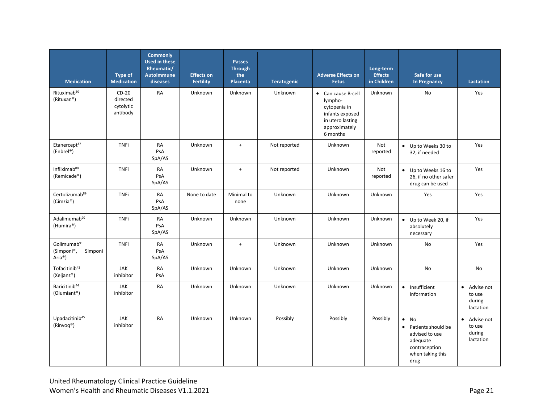| <b>Medication</b>                                                       | <b>Type of</b><br><b>Medication</b>          | <b>Commonly</b><br><b>Used in these</b><br>Rheumatic/<br><b>Autoimmune</b><br>diseases | <b>Effects on</b><br><b>Fertility</b> | <b>Passes</b><br><b>Through</b><br>the<br>Placenta | <b>Teratogenic</b> | <b>Adverse Effects on</b><br><b>Fetus</b>                                                                         | Long-term<br><b>Effects</b><br>in Children | Safe for use<br><b>In Pregnancy</b>                                                                                        | Lactation                                                |
|-------------------------------------------------------------------------|----------------------------------------------|----------------------------------------------------------------------------------------|---------------------------------------|----------------------------------------------------|--------------------|-------------------------------------------------------------------------------------------------------------------|--------------------------------------------|----------------------------------------------------------------------------------------------------------------------------|----------------------------------------------------------|
| Rituximab <sup>50</sup><br>(Rituxan®)                                   | $CD-20$<br>directed<br>cytolytic<br>antibody | <b>RA</b>                                                                              | Unknown                               | Unknown                                            | Unknown            | • Can cause B-cell<br>lympho-<br>cytopenia in<br>infants exposed<br>in utero lasting<br>approximately<br>6 months | Unknown                                    | No                                                                                                                         | Yes                                                      |
| Etanercept87<br>(Enbrel®)                                               | <b>TNFi</b>                                  | RA<br>PsA<br>SpA/AS                                                                    | Unknown                               | $+$                                                | Not reported       | Unknown                                                                                                           | Not<br>reported                            | • Up to Weeks 30 to<br>32, if needed                                                                                       | Yes                                                      |
| Infliximab <sup>88</sup><br>(Remicade®)                                 | <b>TNFi</b>                                  | RA<br>PsA<br>SpA/AS                                                                    | Unknown                               | $+$                                                | Not reported       | Unknown                                                                                                           | Not<br>reported                            | • Up to Weeks 16 to<br>26, if no other safer<br>drug can be used                                                           | Yes                                                      |
| Certolizumab <sup>89</sup><br>(Cimzia®)                                 | <b>TNFi</b>                                  | RA<br>PsA<br>SpA/AS                                                                    | None to date                          | Minimal to<br>none                                 | Unknown            | Unknown                                                                                                           | Unknown                                    | Yes                                                                                                                        | Yes                                                      |
| Adalimumab <sup>90</sup><br>(Humira®)                                   | <b>TNFi</b>                                  | <b>RA</b><br>PsA<br>SpA/AS                                                             | Unknown                               | Unknown                                            | Unknown            | Unknown                                                                                                           | Unknown                                    | • Up to Week 20, if<br>absolutely<br>necessary                                                                             | Yes                                                      |
| Golimumab <sup>91</sup><br>(Simponi®,<br>Simponi<br>Aria <sup>®</sup> ) | <b>TNFi</b>                                  | RA<br>PsA<br>SpA/AS                                                                    | Unknown                               | $\ddot{}$                                          | Unknown            | Unknown                                                                                                           | Unknown                                    | No                                                                                                                         | Yes                                                      |
| Tofacitinib <sup>43</sup><br>(Xeljanz®)                                 | JAK<br>inhibitor                             | RA<br>PsA                                                                              | Unknown                               | Unknown                                            | Unknown            | Unknown                                                                                                           | Unknown                                    | No                                                                                                                         | <b>No</b>                                                |
| Baricitinib <sup>44</sup><br>(Olumiant®)                                | <b>JAK</b><br>inhibitor                      | <b>RA</b>                                                                              | Unknown                               | Unknown                                            | Unknown            | Unknown                                                                                                           | Unknown                                    | • Insufficient<br>information                                                                                              | • Advise not<br>to use<br>during<br>lactation            |
| Upadacitinib <sup>45</sup><br>$(Rinvoq^* )$                             | JAK<br>inhibitor                             | <b>RA</b>                                                                              | Unknown                               | Unknown                                            | Possibly           | Possibly                                                                                                          | Possibly                                   | $\bullet$ No<br>Patients should be<br>$\bullet$<br>advised to use<br>adequate<br>contraception<br>when taking this<br>drug | $\bullet$<br>Advise not<br>to use<br>during<br>lactation |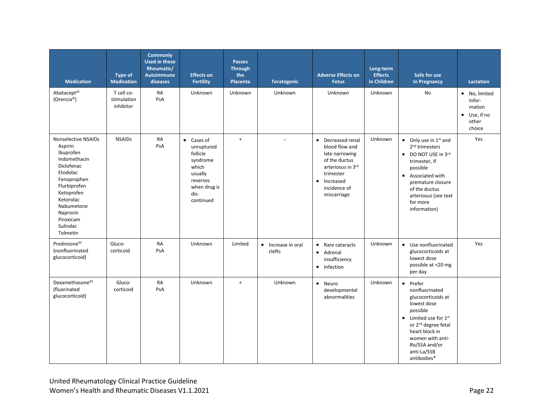| <b>Medication</b>                                                                                                                                                                                              | <b>Type of</b><br><b>Medication</b>    | <b>Commonly</b><br><b>Used in these</b><br>Rheumatic/<br><b>Autoimmune</b><br>diseases | <b>Effects on</b><br><b>Fertility</b>                                                                                         | <b>Passes</b><br><b>Through</b><br>the<br><b>Placenta</b> | <b>Teratogenic</b>           | <b>Adverse Effects on</b><br><b>Fetus</b>                                                                                                                         | Long-term<br><b>Effects</b><br>in Children | Safe for use<br><b>In Pregnancy</b>                                                                                                                                                                                                              | <b>Lactation</b>                                                             |
|----------------------------------------------------------------------------------------------------------------------------------------------------------------------------------------------------------------|----------------------------------------|----------------------------------------------------------------------------------------|-------------------------------------------------------------------------------------------------------------------------------|-----------------------------------------------------------|------------------------------|-------------------------------------------------------------------------------------------------------------------------------------------------------------------|--------------------------------------------|--------------------------------------------------------------------------------------------------------------------------------------------------------------------------------------------------------------------------------------------------|------------------------------------------------------------------------------|
| Abatacept <sup>42</sup><br>(Orencia <sup>®</sup> )                                                                                                                                                             | T cell co-<br>stimulation<br>inhibitor | RA<br>PsA                                                                              | Unknown                                                                                                                       | Unknown                                                   | Unknown                      | Unknown                                                                                                                                                           | Unknown                                    | <b>No</b>                                                                                                                                                                                                                                        | · No, limited<br>infor-<br>mation<br>$\bullet$ Use, if no<br>other<br>choice |
| Nonselective NSAIDs<br>Aspirin<br>Ibuprofen<br>Indomethacin<br>Diclofenac<br>Etodolac<br>Fenoprophen<br>Flurbiprofen<br>Ketoprofen<br>Ketorolac<br>Nabumetone<br>Naprocin<br>Piroxicam<br>Sulindac<br>Tolmetin | <b>NSAIDs</b>                          | RA<br>PsA                                                                              | $\bullet$ Cases of<br>unruptured<br>follicle<br>syndrome<br>which<br>usually<br>reverses<br>when drug is<br>dis-<br>continued | $+$                                                       | $\overline{\phantom{m}}$     | • Decreased renal<br>blood flow and<br>late narrowing<br>of the ductus<br>arteriosus in 3rd<br>trimester<br>Increased<br>$\bullet$<br>incidence of<br>miscarriage | Unknown                                    | $\bullet$ Only use in 1 <sup>st</sup> and<br>2 <sup>nd</sup> trimesters<br>• DO NOT USE in 3rd<br>trimester, if<br>possible<br>• Associated with<br>premature closure<br>of the ductus<br>arteriosus (see text<br>for more<br>information)       | Yes                                                                          |
| Prednisone <sup>92</sup><br>(nonfluorinated<br>glucocorticoid)                                                                                                                                                 | Gluco-<br>corticoid                    | <b>RA</b><br>PsA                                                                       | Unknown                                                                                                                       | Limited                                                   | • Increase in oral<br>clefts | • Rare cataracts<br>• Adrenal<br>insufficiency<br>Infection<br>$\bullet$                                                                                          | Unknown                                    | • Use nonfluorinated<br>glucocorticoids at<br>lowest dose<br>possible at <20 mg<br>per day                                                                                                                                                       | Yes                                                                          |
| Dexamethasone <sup>93</sup><br>(fluorinated<br>glucocorticoid)                                                                                                                                                 | Gluco-<br>corticoid                    | RA<br>PsA                                                                              | Unknown                                                                                                                       | $+$                                                       | Unknown                      | • Neuro<br>developmental<br>abnormalities                                                                                                                         | Unknown                                    | • Prefer<br>nonfluorinated<br>glucocorticoids at<br>lowest dose<br>possible<br>$\bullet$ Limited use for $1^{\text{st}}$<br>or 2 <sup>nd</sup> degree fetal<br>heart block in<br>women with anti-<br>Ro/SSA and/or<br>anti-La/SSB<br>antibodies* |                                                                              |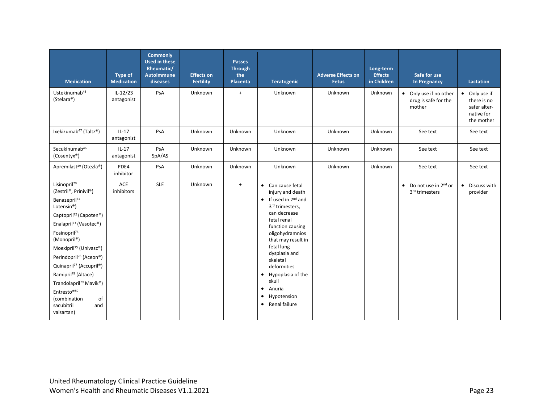| <b>Medication</b>                                                                                                                                                                                                                                                                                                                                                                                                                                                                                                             | Type of<br><b>Medication</b> | <b>Commonly</b><br><b>Used in these</b><br>Rheumatic/<br><b>Autoimmune</b><br>diseases | <b>Effects on</b><br><b>Fertility</b> | <b>Passes</b><br><b>Through</b><br>the<br>Placenta | <b>Teratogenic</b>                                                                                                                                                                                                                                                                                                                                                                     | <b>Adverse Effects on</b><br><b>Fetus</b> | Long-term<br><b>Effects</b><br>in Children | Safe for use<br><b>In Pregnancy</b>                          | <b>Lactation</b>                                                         |
|-------------------------------------------------------------------------------------------------------------------------------------------------------------------------------------------------------------------------------------------------------------------------------------------------------------------------------------------------------------------------------------------------------------------------------------------------------------------------------------------------------------------------------|------------------------------|----------------------------------------------------------------------------------------|---------------------------------------|----------------------------------------------------|----------------------------------------------------------------------------------------------------------------------------------------------------------------------------------------------------------------------------------------------------------------------------------------------------------------------------------------------------------------------------------------|-------------------------------------------|--------------------------------------------|--------------------------------------------------------------|--------------------------------------------------------------------------|
| Ustekinumab <sup>48</sup><br>(Stelara®)                                                                                                                                                                                                                                                                                                                                                                                                                                                                                       | $IL-12/23$<br>antagonist     | PsA                                                                                    | Unknown                               | $\ddot{}$                                          | Unknown                                                                                                                                                                                                                                                                                                                                                                                | Unknown                                   | Unknown                                    | • Only use if no other<br>drug is safe for the<br>mother     | • Only use if<br>there is no<br>safer alter-<br>native for<br>the mother |
| Ixekizumab <sup>47</sup> (Taltz®)                                                                                                                                                                                                                                                                                                                                                                                                                                                                                             | $IL-17$<br>antagonist        | PsA                                                                                    | Unknown                               | Unknown                                            | Unknown                                                                                                                                                                                                                                                                                                                                                                                | Unknown                                   | Unknown                                    | See text                                                     | See text                                                                 |
| Secukinumab <sup>46</sup><br>(Cosentyx®)                                                                                                                                                                                                                                                                                                                                                                                                                                                                                      | $IL-17$<br>antagonist        | PsA<br>SpA/AS                                                                          | Unknown                               | Unknown                                            | Unknown                                                                                                                                                                                                                                                                                                                                                                                | Unknown                                   | Unknown                                    | See text                                                     | See text                                                                 |
| Apremilast <sup>49</sup> (Otezla®)                                                                                                                                                                                                                                                                                                                                                                                                                                                                                            | PDE4<br>inhibitor            | PsA                                                                                    | Unknown                               | Unknown                                            | Unknown                                                                                                                                                                                                                                                                                                                                                                                | Unknown                                   | Unknown                                    | See text                                                     | See text                                                                 |
| Lisinopril <sup>70</sup><br>(Zestril®, Prinivil®)<br>Benazepril <sup>71</sup><br>Lotensin <sup>®</sup> )<br>Captopril <sup>72</sup> (Capoten <sup>®</sup> )<br>Enalapril <sup>73</sup> (Vasotec®)<br>Fosinopril <sup>74</sup><br>(Monopril®)<br>Moexipril <sup>75</sup> (Univasc®)<br>Perindopril <sup>76</sup> (Aceon®)<br>Quinapril <sup>77</sup> (Accupril®)<br>Ramipril <sup>78</sup> (Altace)<br>Trandolapril <sup>79</sup> Mavik <sup>®</sup> )<br>Entresto®80<br>(combination<br>of<br>sacubitril<br>and<br>valsartan) | ACE<br>inhibitors            | <b>SLE</b>                                                                             | Unknown                               | $+$                                                | • Can cause fetal<br>injury and death<br>$\bullet$ If used in 2 <sup>nd</sup> and<br>3rd trimesters,<br>can decrease<br>fetal renal<br>function causing<br>oligohydramnios<br>that may result in<br>fetal lung<br>dysplasia and<br>skeletal<br>deformities<br>Hypoplasia of the<br>$\bullet$<br>skull<br>Anuria<br>$\bullet$<br>Hypotension<br>$\bullet$<br>Renal failure<br>$\bullet$ |                                           |                                            | $\bullet$ Do not use in 2 <sup>nd</sup> or<br>3rd trimesters | • Discuss with<br>provider                                               |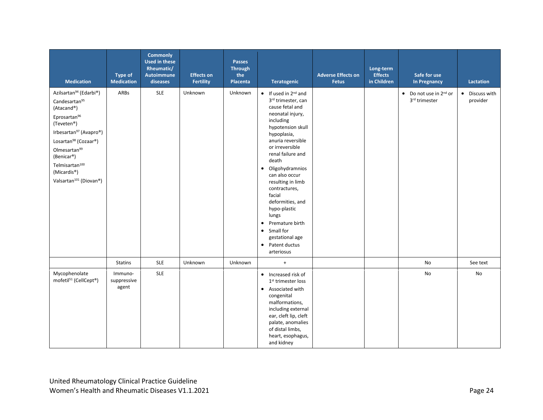| <b>Medication</b>                                                                                                                                                                                                                                                                                                                            | <b>Type of</b><br><b>Medication</b> | <b>Commonly</b><br><b>Used in these</b><br>Rheumatic/<br><b>Autoimmune</b><br>diseases | <b>Effects on</b><br><b>Fertility</b> | <b>Passes</b><br><b>Through</b><br>the<br>Placenta | Teratogenic                                                                                                                                                                                                                                                                                                                                                                                                                                                                                          | <b>Adverse Effects on</b><br><b>Fetus</b> | Long-term<br><b>Effects</b><br>in Children | Safe for use<br><b>In Pregnancy</b>                         | Lactation                  |
|----------------------------------------------------------------------------------------------------------------------------------------------------------------------------------------------------------------------------------------------------------------------------------------------------------------------------------------------|-------------------------------------|----------------------------------------------------------------------------------------|---------------------------------------|----------------------------------------------------|------------------------------------------------------------------------------------------------------------------------------------------------------------------------------------------------------------------------------------------------------------------------------------------------------------------------------------------------------------------------------------------------------------------------------------------------------------------------------------------------------|-------------------------------------------|--------------------------------------------|-------------------------------------------------------------|----------------------------|
| Azilsartan <sup>94</sup> (Edarbi®)<br>Candesartan95<br>(Atacand®)<br>Eprosartan <sup>96</sup><br>(Teveten <sup>®</sup> )<br>Irbesartan <sup>97</sup> (Avapro®)<br>Losartan <sup>98</sup> (Cozaar®)<br>Olmesartan <sup>99</sup><br>(Benicar®)<br>Telmisartan <sup>100</sup><br>(Micardis <sup>®</sup> )<br>Valsartan <sup>101</sup> (Diovan®) | ARBs                                | <b>SLE</b>                                                                             | Unknown                               | Unknown                                            | $\bullet$ If used in 2 <sup>nd</sup> and<br>3rd trimester, can<br>cause fetal and<br>neonatal injury,<br>including<br>hypotension skull<br>hypoplasia,<br>anuria reversible<br>or irreversible<br>renal failure and<br>death<br>Oligohydramnios<br>$\bullet$<br>can also occur<br>resulting in limb<br>contractures,<br>facial<br>deformities, and<br>hypo-plastic<br>lungs<br>Premature birth<br>$\bullet$<br>Small for<br>$\bullet$<br>gestational age<br>Patent ductus<br>$\bullet$<br>arteriosus |                                           |                                            | $\bullet$ Do not use in 2 <sup>nd</sup> or<br>3rd trimester | • Discuss with<br>provider |
|                                                                                                                                                                                                                                                                                                                                              | <b>Statins</b>                      | <b>SLE</b>                                                                             | Unknown                               | Unknown                                            | $+$                                                                                                                                                                                                                                                                                                                                                                                                                                                                                                  |                                           |                                            | No                                                          | See text                   |
| Mycophenolate<br>mofetil <sup>51</sup> (CellCept®)                                                                                                                                                                                                                                                                                           | Immuno-<br>suppressive<br>agent     | <b>SLE</b>                                                                             |                                       |                                                    | • Increased risk of<br>1 <sup>st</sup> trimester loss<br>Associated with<br>$\bullet$<br>congenital<br>malformations,<br>including external<br>ear, cleft lip, cleft<br>palate, anomalies<br>of distal limbs,<br>heart, esophagus,<br>and kidney                                                                                                                                                                                                                                                     |                                           |                                            | No                                                          | <b>No</b>                  |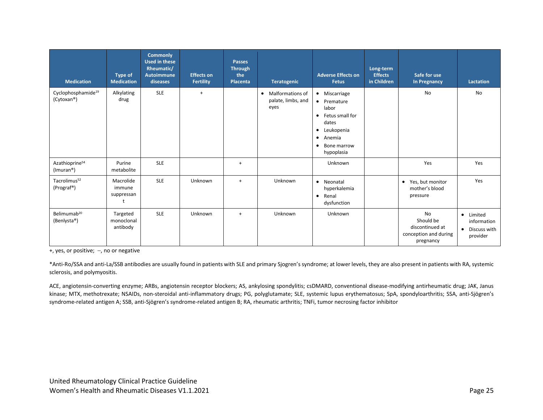| <b>Medication</b>                                    | <b>Type of</b><br><b>Medication</b>    | <b>Commonly</b><br><b>Used in these</b><br>Rheumatic/<br>Autoimmune<br>diseases | <b>Effects on</b><br><b>Fertility</b> | Passes<br><b>Through</b><br>the<br>Placenta | <b>Teratogenic</b>                                                 | <b>Adverse Effects on</b><br><b>Fetus</b>                                                                                                                                  | Long-term<br><b>Effects</b><br>in Children | Safe for use<br><b>In Pregnancy</b>                                      | <b>Lactation</b>                                                  |
|------------------------------------------------------|----------------------------------------|---------------------------------------------------------------------------------|---------------------------------------|---------------------------------------------|--------------------------------------------------------------------|----------------------------------------------------------------------------------------------------------------------------------------------------------------------------|--------------------------------------------|--------------------------------------------------------------------------|-------------------------------------------------------------------|
| Cyclophosphamide <sup>19</sup><br>(Cytoxan®)         | Alkylating<br>drug                     | <b>SLE</b>                                                                      | $+$                                   |                                             | <b>Malformations of</b><br>$\bullet$<br>palate, limbs, and<br>eyes | • Miscarriage<br>• Premature<br>labor<br>Fetus small for<br>$\bullet$<br>dates<br>Leukopenia<br>$\bullet$<br>Anemia<br>$\bullet$<br>Bone marrow<br>$\bullet$<br>hypoplasia |                                            | <b>No</b>                                                                | <b>No</b>                                                         |
| Azathioprine <sup>54</sup><br>(Imuran <sup>®</sup> ) | Purine<br>metabolite                   | <b>SLE</b>                                                                      |                                       | $\ddot{}$                                   |                                                                    | Unknown                                                                                                                                                                    |                                            | Yes                                                                      | Yes                                                               |
| Tacrolimus <sup>52</sup><br>(Prograf®)               | Macrolide<br>immune<br>suppressan<br>t | <b>SLE</b>                                                                      | Unknown                               | $+$                                         | Unknown                                                            | • Neonatal<br>hyperkalemia<br>Renal<br>$\bullet$<br>dysfunction                                                                                                            |                                            | • Yes, but monitor<br>mother's blood<br>pressure                         | Yes                                                               |
| Belimumab <sup>20</sup><br>(Benlysta®)               | Targeted<br>monoclonal<br>antibody     | <b>SLE</b>                                                                      | Unknown                               | $+$                                         | Unknown                                                            | Unknown                                                                                                                                                                    |                                            | No<br>Should be<br>discontinued at<br>conception and during<br>pregnancy | • Limited<br>information<br>Discuss with<br>$\bullet$<br>provider |

+, yes, or positive; −, no or negative

\*Anti-Ro/SSA and anti-La/SSB antibodies are usually found in patients with SLE and primary Sjogren's syndrome; at lower levels, they are also present in patients with RA, systemic sclerosis, and polymyositis.

ACE, angiotensin-converting enzyme; ARBs, angiotensin receptor blockers; AS, ankylosing spondylitis; csDMARD, conventional disease-modifying antirheumatic drug; JAK, Janus kinase; MTX, methotrexate; NSAIDs, non-steroidal anti-inflammatory drugs; PG, polyglutamate; SLE, systemic lupus erythematosus; SpA, spondyloarthritis; SSA, anti-Sjögren's syndrome-related antigen A; SSB, anti-Sjögren's syndrome-related antigen B; RA, rheumatic arthritis; TNFi, tumor necrosing factor inhibitor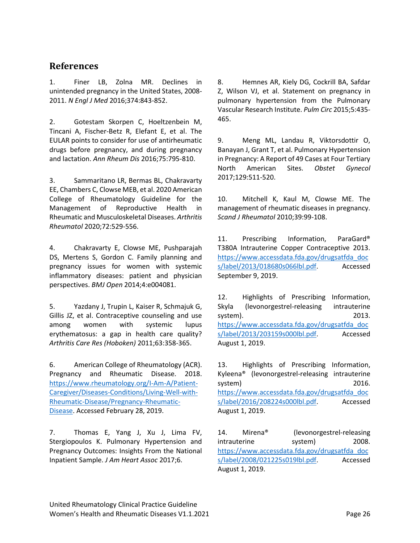#### <span id="page-25-0"></span>**References**

<span id="page-25-1"></span>1. Finer LB, Zolna MR. Declines in unintended pregnancy in the United States, 2008- 2011. *N Engl J Med* 2016;374:843-852.

<span id="page-25-2"></span>2. Gotestam Skorpen C, Hoeltzenbein M, Tincani A, Fischer-Betz R, Elefant E, et al. The EULAR points to consider for use of antirheumatic drugs before pregnancy, and during pregnancy and lactation. *Ann Rheum Dis* 2016;75:795-810.

<span id="page-25-3"></span>3. Sammaritano LR, Bermas BL, Chakravarty EE, Chambers C, Clowse MEB, et al. 2020 American College of Rheumatology Guideline for the Management of Reproductive Health in Rheumatic and Musculoskeletal Diseases. *Arthritis Rheumatol* 2020;72:529-556.

<span id="page-25-4"></span>4. Chakravarty E, Clowse ME, Pushparajah DS, Mertens S, Gordon C. Family planning and pregnancy issues for women with systemic inflammatory diseases: patient and physician perspectives. *BMJ Open* 2014;4:e004081.

<span id="page-25-5"></span>5. Yazdany J, Trupin L, Kaiser R, Schmajuk G, Gillis JZ, et al. Contraceptive counseling and use among women with systemic lupus erythematosus: a gap in health care quality? *Arthritis Care Res (Hoboken)* 2011;63:358-365.

<span id="page-25-6"></span>6. American College of Rheumatology (ACR). Pregnancy and Rheumatic Disease. 2018. [https://www.rheumatology.org/I-Am-A/Patient-](https://www.rheumatology.org/I-Am-A/Patient-Caregiver/Diseases-Conditions/Living-Well-with-Rheumatic-Disease/Pregnancy-Rheumatic-Disease)[Caregiver/Diseases-Conditions/Living-Well-with-](https://www.rheumatology.org/I-Am-A/Patient-Caregiver/Diseases-Conditions/Living-Well-with-Rheumatic-Disease/Pregnancy-Rheumatic-Disease)[Rheumatic-Disease/Pregnancy-Rheumatic-](https://www.rheumatology.org/I-Am-A/Patient-Caregiver/Diseases-Conditions/Living-Well-with-Rheumatic-Disease/Pregnancy-Rheumatic-Disease)[Disease.](https://www.rheumatology.org/I-Am-A/Patient-Caregiver/Diseases-Conditions/Living-Well-with-Rheumatic-Disease/Pregnancy-Rheumatic-Disease) Accessed February 28, 2019.

<span id="page-25-7"></span>7. Thomas E, Yang J, Xu J, Lima FV, Stergiopoulos K. Pulmonary Hypertension and Pregnancy Outcomes: Insights From the National Inpatient Sample. *J Am Heart Assoc* 2017;6.

<span id="page-25-8"></span>8. Hemnes AR, Kiely DG, Cockrill BA, Safdar Z, Wilson VJ, et al. Statement on pregnancy in pulmonary hypertension from the Pulmonary Vascular Research Institute. *Pulm Circ* 2015;5:435- 465.

<span id="page-25-9"></span>9. Meng ML, Landau R, Viktorsdottir O, Banayan J, Grant T, et al. Pulmonary Hypertension in Pregnancy: A Report of 49 Cases at Four Tertiary North American Sites. *Obstet Gynecol*  2017;129:511-520.

<span id="page-25-10"></span>10. Mitchell K, Kaul M, Clowse ME. The management of rheumatic diseases in pregnancy. *Scand J Rheumatol* 2010;39:99-108.

<span id="page-25-11"></span>11. Prescribing Information, ParaGard<sup>®</sup> T380A Intrauterine Copper Contraceptive 2013. [https://www.accessdata.fda.gov/drugsatfda\\_doc](https://www.accessdata.fda.gov/drugsatfda_docs/label/2013/018680s066lbl.pdf) [s/label/2013/018680s066lbl.pdf.](https://www.accessdata.fda.gov/drugsatfda_docs/label/2013/018680s066lbl.pdf) Accessed September 9, 2019.

<span id="page-25-12"></span>12. Highlights of Prescribing Information, Skyla (levonorgestrel-releasing intrauterine system). 2013. [https://www.accessdata.fda.gov/drugsatfda\\_doc](https://www.accessdata.fda.gov/drugsatfda_docs/label/2013/203159s000lbl.pdf) [s/label/2013/203159s000lbl.pdf.](https://www.accessdata.fda.gov/drugsatfda_docs/label/2013/203159s000lbl.pdf) Accessed August 1, 2019.

<span id="page-25-13"></span>13. Highlights of Prescribing Information, Kyleena® (levonorgestrel-releasing intrauterine system) 2016. [https://www.accessdata.fda.gov/drugsatfda\\_doc](https://www.accessdata.fda.gov/drugsatfda_docs/label/2016/208224s000lbl.pdf) [s/label/2016/208224s000lbl.pdf.](https://www.accessdata.fda.gov/drugsatfda_docs/label/2016/208224s000lbl.pdf) Accessed August 1, 2019.

<span id="page-25-14"></span>14. Mirena® (levonorgestrel-releasing intrauterine system) 2008. [https://www.accessdata.fda.gov/drugsatfda\\_doc](https://www.accessdata.fda.gov/drugsatfda_docs/label/2008/021225s019lbl.pdf) [s/label/2008/021225s019lbl.pdf.](https://www.accessdata.fda.gov/drugsatfda_docs/label/2008/021225s019lbl.pdf) Accessed August 1, 2019.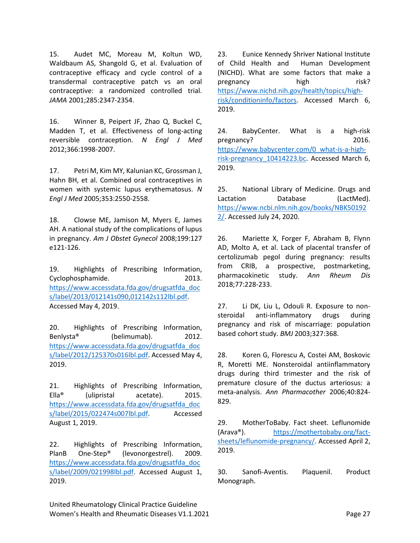<span id="page-26-0"></span>15. Audet MC, Moreau M, Koltun WD, Waldbaum AS, Shangold G, et al. Evaluation of contraceptive efficacy and cycle control of a transdermal contraceptive patch vs an oral contraceptive: a randomized controlled trial. *JAMA* 2001;285:2347-2354.

<span id="page-26-16"></span><span id="page-26-1"></span>16. Winner B, Peipert JF, Zhao Q, Buckel C, Madden T, et al. Effectiveness of long-acting reversible contraception. *N Engl J Med*  2012;366:1998-2007.

<span id="page-26-2"></span>17. Petri M, Kim MY, Kalunian KC, Grossman J, Hahn BH, et al. Combined oral contraceptives in women with systemic lupus erythematosus. *N Engl J Med* 2005;353:2550-2558.

<span id="page-26-17"></span><span id="page-26-3"></span>18. Clowse ME, Jamison M, Myers E, James AH. A national study of the complications of lupus in pregnancy. *Am J Obstet Gynecol* 2008;199:127 e121-126.

<span id="page-26-4"></span>19. Highlights of Prescribing Information, Cyclophosphamide. 2013. [https://www.accessdata.fda.gov/drugsatfda\\_doc](https://www.accessdata.fda.gov/drugsatfda_docs/label/2013/012141s090,012142s112lbl.pdf) [s/label/2013/012141s090,012142s112lbl.pdf.](https://www.accessdata.fda.gov/drugsatfda_docs/label/2013/012141s090,012142s112lbl.pdf) Accessed May 4, 2019.

<span id="page-26-5"></span>20. Highlights of Prescribing Information, Benlysta® (belimumab). 2012. [https://www.accessdata.fda.gov/drugsatfda\\_doc](https://www.accessdata.fda.gov/drugsatfda_docs/label/2012/125370s016lbl.pdf) [s/label/2012/125370s016lbl.pdf.](https://www.accessdata.fda.gov/drugsatfda_docs/label/2012/125370s016lbl.pdf) Accessed May 4, 2019.

<span id="page-26-6"></span>21. Highlights of Prescribing Information, Ella® (ulipristal acetate). 2015. [https://www.accessdata.fda.gov/drugsatfda\\_doc](https://www.accessdata.fda.gov/drugsatfda_docs/label/2015/022474s007lbl.pdf) [s/label/2015/022474s007lbl.pdf.](https://www.accessdata.fda.gov/drugsatfda_docs/label/2015/022474s007lbl.pdf) Accessed August 1, 2019.

<span id="page-26-7"></span>22. Highlights of Prescribing Information, PlanB One-Step® (levonorgestrel). 2009. [https://www.accessdata.fda.gov/drugsatfda\\_doc](https://www.accessdata.fda.gov/drugsatfda_docs/label/2009/021998lbl.pdf) [s/label/2009/021998lbl.pdf.](https://www.accessdata.fda.gov/drugsatfda_docs/label/2009/021998lbl.pdf) Accessed August 1, 2019.

<span id="page-26-8"></span>23. Eunice Kennedy Shriver National Institute of Child Health and Human Development (NICHD). What are some factors that make a pregnancy high risk? [https://www.nichd.nih.gov/health/topics/high](https://www.nichd.nih.gov/health/topics/high-risk/conditioninfo/factors)[risk/conditioninfo/factors.](https://www.nichd.nih.gov/health/topics/high-risk/conditioninfo/factors) Accessed March 6, 2019.

<span id="page-26-9"></span>24. BabyCenter. What is a high-risk pregnancy? 2016. [https://www.babycenter.com/0\\_what-is-a-high](https://www.babycenter.com/0_what-is-a-high-risk-pregnancy_10414223.bc)risk-pregnancy 10414223.bc. Accessed March 6, 2019.

<span id="page-26-10"></span>25. National Library of Medicine. Drugs and Lactation Database (LactMed). [https://www.ncbi.nlm.nih.gov/books/NBK50192](https://www.ncbi.nlm.nih.gov/books/NBK501922/) [2/.](https://www.ncbi.nlm.nih.gov/books/NBK501922/) Accessed July 24, 2020.

<span id="page-26-11"></span>26. Mariette X, Forger F, Abraham B, Flynn AD, Molto A, et al. Lack of placental transfer of certolizumab pegol during pregnancy: results from CRIB, a prospective, postmarketing, pharmacokinetic study. *Ann Rheum Dis*  2018;77:228-233.

<span id="page-26-14"></span>27. Li DK, Liu L, Odouli R. Exposure to nonsteroidal anti-inflammatory drugs during pregnancy and risk of miscarriage: population based cohort study. *BMJ* 2003;327:368.

<span id="page-26-15"></span>28. Koren G, Florescu A, Costei AM, Boskovic R, Moretti ME. Nonsteroidal antiinflammatory drugs during third trimester and the risk of premature closure of the ductus arteriosus: a meta-analysis. *Ann Pharmacother* 2006;40:824- 829.

<span id="page-26-13"></span>29. MotherToBaby. Fact sheet. Leflunomide (Arava®). [https://mothertobaby.org/fact](https://mothertobaby.org/fact-sheets/leflunomide-pregnancy/)[sheets/leflunomide-pregnancy/.](https://mothertobaby.org/fact-sheets/leflunomide-pregnancy/) Accessed April 2, 2019.

<span id="page-26-12"></span>30. Sanofi-Aventis. Plaquenil. Product Monograph.

United Rheumatology Clinical Practice Guideline Women's Health and Rheumatic Diseases V1.1.2021 **Page 27** All the State 27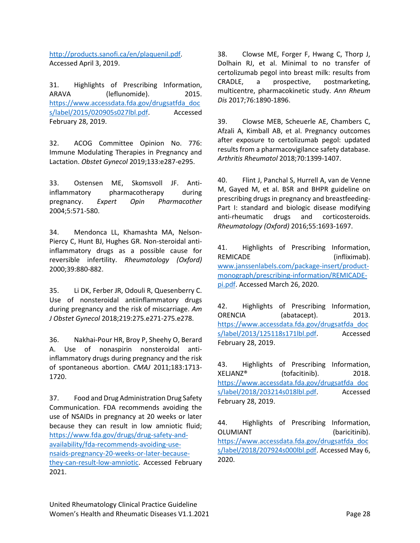<span id="page-27-14"></span>[http://products.sanofi.ca/en/plaquenil.pdf.](http://products.sanofi.ca/en/plaquenil.pdf) Accessed April 3, 2019.

<span id="page-27-0"></span>31. Highlights of Prescribing Information, ARAVA (leflunomide). 2015. [https://www.accessdata.fda.gov/drugsatfda\\_doc](https://www.accessdata.fda.gov/drugsatfda_docs/label/2015/020905s027lbl.pdf) [s/label/2015/020905s027lbl.pdf.](https://www.accessdata.fda.gov/drugsatfda_docs/label/2015/020905s027lbl.pdf) Accessed February 28, 2019.

<span id="page-27-1"></span>32. ACOG Committee Opinion No. 776: Immune Modulating Therapies in Pregnancy and Lactation. *Obstet Gynecol* 2019;133:e287-e295.

<span id="page-27-2"></span>33. Ostensen ME, Skomsvoll JF. Antiinflammatory pharmacotherapy during pregnancy. *Expert Opin Pharmacother*  2004;5:571-580.

<span id="page-27-3"></span>34. Mendonca LL, Khamashta MA, Nelson-Piercy C, Hunt BJ, Hughes GR. Non-steroidal antiinflammatory drugs as a possible cause for reversible infertility. *Rheumatology (Oxford)*  2000;39:880-882.

<span id="page-27-4"></span>35. Li DK, Ferber JR, Odouli R, Quesenberry C. Use of nonsteroidal antiinflammatory drugs during pregnancy and the risk of miscarriage. *Am J Obstet Gynecol* 2018;219:275.e271-275.e278.

<span id="page-27-5"></span>36. Nakhai-Pour HR, Broy P, Sheehy O, Berard A. Use of nonaspirin nonsteroidal antiinflammatory drugs during pregnancy and the risk of spontaneous abortion. *CMAJ* 2011;183:1713- 1720.

<span id="page-27-6"></span>37. Food and Drug Administration Drug Safety Communication. FDA recommends avoiding the use of NSAIDs in pregnancy at 20 weeks or later because they can result in low amniotic fluid; [https://www.fda.gov/drugs/drug-safety-and](https://www.fda.gov/drugs/drug-safety-and-availability/fda-recommends-avoiding-use-nsaids-pregnancy-20-weeks-or-later-because-they-can-result-low-amniotic)[availability/fda-recommends-avoiding-use](https://www.fda.gov/drugs/drug-safety-and-availability/fda-recommends-avoiding-use-nsaids-pregnancy-20-weeks-or-later-because-they-can-result-low-amniotic)[nsaids-pregnancy-20-weeks-or-later-because](https://www.fda.gov/drugs/drug-safety-and-availability/fda-recommends-avoiding-use-nsaids-pregnancy-20-weeks-or-later-because-they-can-result-low-amniotic)[they-can-result-low-amniotic.](https://www.fda.gov/drugs/drug-safety-and-availability/fda-recommends-avoiding-use-nsaids-pregnancy-20-weeks-or-later-because-they-can-result-low-amniotic) Accessed February 2021.

<span id="page-27-7"></span>38. Clowse ME, Forger F, Hwang C, Thorp J, Dolhain RJ, et al. Minimal to no transfer of certolizumab pegol into breast milk: results from CRADLE, a prospective, postmarketing, multicentre, pharmacokinetic study. *Ann Rheum Dis* 2017;76:1890-1896.

<span id="page-27-8"></span>39. Clowse MEB, Scheuerle AE, Chambers C, Afzali A, Kimball AB, et al. Pregnancy outcomes after exposure to certolizumab pegol: updated results from a pharmacovigilance safety database. *Arthritis Rheumatol* 2018;70:1399-1407.

<span id="page-27-17"></span><span id="page-27-9"></span>40. Flint J, Panchal S, Hurrell A, van de Venne M, Gayed M, et al. BSR and BHPR guideline on prescribing drugs in pregnancy and breastfeeding-Part I: standard and biologic disease modifying anti-rheumatic drugs and corticosteroids. *Rheumatology (Oxford)* 2016;55:1693-1697.

<span id="page-27-15"></span><span id="page-27-10"></span>41. Highlights of Prescribing Information, REMICADE (infliximab). [www.janssenlabels.com/package-insert/product](https://thebioscriptgroup.sharepoint.com/sites/22960-UNR/Shared%20Documents/Content/3.%20Women)[monograph/prescribing-information/REMICADE](https://thebioscriptgroup.sharepoint.com/sites/22960-UNR/Shared%20Documents/Content/3.%20Women)[pi.pdf.](https://thebioscriptgroup.sharepoint.com/sites/22960-UNR/Shared%20Documents/Content/3.%20Women) Accessed March 26, 2020.

<span id="page-27-16"></span><span id="page-27-11"></span>42. Highlights of Prescribing Information, ORENCIA (abatacept). 2013. [https://www.accessdata.fda.gov/drugsatfda\\_doc](https://www.accessdata.fda.gov/drugsatfda_docs/label/2013/125118s171lbl.pdf) [s/label/2013/125118s171lbl.pdf.](https://www.accessdata.fda.gov/drugsatfda_docs/label/2013/125118s171lbl.pdf) Accessed February 28, 2019.

<span id="page-27-12"></span>43. Highlights of Prescribing Information, XELJANZ® (tofacitinib). 2018. [https://www.accessdata.fda.gov/drugsatfda\\_doc](https://www.accessdata.fda.gov/drugsatfda_docs/label/2018/203214s018lbl.pdf) [s/label/2018/203214s018lbl.pdf.](https://www.accessdata.fda.gov/drugsatfda_docs/label/2018/203214s018lbl.pdf) Accessed February 28, 2019.

<span id="page-27-13"></span>44. Highlights of Prescribing Information, OLUMIANT (baricitinib). [https://www.accessdata.fda.gov/drugsatfda\\_doc](https://www.accessdata.fda.gov/drugsatfda_docs/label/2018/207924s000lbl.pdf) [s/label/2018/207924s000lbl.pdf.](https://www.accessdata.fda.gov/drugsatfda_docs/label/2018/207924s000lbl.pdf) Accessed May 6, 2020.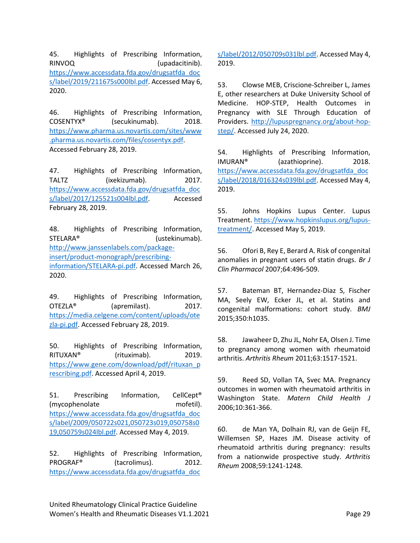<span id="page-28-20"></span><span id="page-28-19"></span><span id="page-28-17"></span><span id="page-28-0"></span>45. Highlights of Prescribing Information, RINVOQ (upadacitinib). [https://www.accessdata.fda.gov/drugsatfda\\_doc](https://www.accessdata.fda.gov/drugsatfda_docs/label/2019/211675s000lbl.pdf) [s/label/2019/211675s000lbl.pdf.](https://www.accessdata.fda.gov/drugsatfda_docs/label/2019/211675s000lbl.pdf) Accessed May 6, 2020.

<span id="page-28-18"></span><span id="page-28-1"></span>46. Highlights of Prescribing Information, COSENTYX® (secukinumab). 2018. [https://www.pharma.us.novartis.com/sites/www](https://www.pharma.us.novartis.com/sites/www.pharma.us.novartis.com/files/cosentyx.pdf) [.pharma.us.novartis.com/files/cosentyx.pdf.](https://www.pharma.us.novartis.com/sites/www.pharma.us.novartis.com/files/cosentyx.pdf) Accessed February 28, 2019.

<span id="page-28-21"></span><span id="page-28-2"></span>47. Highlights of Prescribing Information, TALTZ (ixekizumab). 2017. [https://www.accessdata.fda.gov/drugsatfda\\_doc](https://www.accessdata.fda.gov/drugsatfda_docs/label/2017/125521s004lbl.pdf) [s/label/2017/125521s004lbl.pdf.](https://www.accessdata.fda.gov/drugsatfda_docs/label/2017/125521s004lbl.pdf) Accessed February 28, 2019.

<span id="page-28-16"></span><span id="page-28-3"></span>48. Highlights of Prescribing Information, STELARA<sup>®</sup> (ustekinumab). [http://www.janssenlabels.com/package](http://www.janssenlabels.com/package-insert/product-monograph/prescribing-information/STELARA-pi.pdf)[insert/product-monograph/prescribing](http://www.janssenlabels.com/package-insert/product-monograph/prescribing-information/STELARA-pi.pdf)[information/STELARA-pi.pdf.](http://www.janssenlabels.com/package-insert/product-monograph/prescribing-information/STELARA-pi.pdf) Accessed March 26, 2020.

<span id="page-28-22"></span><span id="page-28-4"></span>49. Highlights of Prescribing Information, OTEZLA® (apremilast). 2017. [https://media.celgene.com/content/uploads/ote](https://media.celgene.com/content/uploads/otezla-pi.pdf) [zla-pi.pdf.](https://media.celgene.com/content/uploads/otezla-pi.pdf) Accessed February 28, 2019.

<span id="page-28-24"></span><span id="page-28-5"></span>50. Highlights of Prescribing Information, RITUXAN® (rituximab). 2019. [https://www.gene.com/download/pdf/rituxan\\_p](https://www.gene.com/download/pdf/rituxan_prescribing.pdf) [rescribing.pdf.](https://www.gene.com/download/pdf/rituxan_prescribing.pdf) Accessed April 4, 2019.

<span id="page-28-6"></span>51. Prescribing Information, CellCept<sup>®</sup> (mycophenolate mofetil). [https://www.accessdata.fda.gov/drugsatfda\\_doc](https://www.accessdata.fda.gov/drugsatfda_docs/label/2009/050722s021,050723s019,050758s019,050759s024lbl.pdf) [s/label/2009/050722s021,050723s019,050758s0](https://www.accessdata.fda.gov/drugsatfda_docs/label/2009/050722s021,050723s019,050758s019,050759s024lbl.pdf) [19,050759s024lbl.pdf.](https://www.accessdata.fda.gov/drugsatfda_docs/label/2009/050722s021,050723s019,050758s019,050759s024lbl.pdf) Accessed May 4, 2019.

<span id="page-28-7"></span>52. Highlights of Prescribing Information, PROGRAF® (tacrolimus). 2012. [https://www.accessdata.fda.gov/drugsatfda\\_doc](https://www.accessdata.fda.gov/drugsatfda_docs/label/2012/050709s031lbl.pdf)

<span id="page-28-23"></span>[s/label/2012/050709s031lbl.pdf.](https://www.accessdata.fda.gov/drugsatfda_docs/label/2012/050709s031lbl.pdf) Accessed May 4, 2019.

<span id="page-28-8"></span>53. Clowse MEB, Criscione-Schreiber L, James E, other researchers at Duke University School of Medicine. HOP-STEP, Health Outcomes in Pregnancy with SLE Through Education of Providers. [http://lupuspregnancy.org/about-hop](http://lupuspregnancy.org/about-hop-step/)[step/.](http://lupuspregnancy.org/about-hop-step/) Accessed July 24, 2020.

<span id="page-28-9"></span>54. Highlights of Prescribing Information, IMURAN® (azathioprine). 2018. [https://www.accessdata.fda.gov/drugsatfda\\_doc](https://www.accessdata.fda.gov/drugsatfda_docs/label/2018/016324s039lbl.pdf) [s/label/2018/016324s039lbl.pdf.](https://www.accessdata.fda.gov/drugsatfda_docs/label/2018/016324s039lbl.pdf) Accessed May 4, 2019.

<span id="page-28-10"></span>55. Johns Hopkins Lupus Center. Lupus Treatment. [https://www.hopkinslupus.org/lupus](https://www.hopkinslupus.org/lupus-treatment/)[treatment/.](https://www.hopkinslupus.org/lupus-treatment/) Accessed May 5, 2019.

<span id="page-28-11"></span>56. Ofori B, Rey E, Berard A. Risk of congenital anomalies in pregnant users of statin drugs. *Br J Clin Pharmacol* 2007;64:496-509.

<span id="page-28-12"></span>57. Bateman BT, Hernandez-Diaz S, Fischer MA, Seely EW, Ecker JL, et al. Statins and congenital malformations: cohort study. *BMJ*  2015;350:h1035.

<span id="page-28-13"></span>58. Jawaheer D, Zhu JL, Nohr EA, Olsen J. Time to pregnancy among women with rheumatoid arthritis. *Arthritis Rheum* 2011;63:1517-1521.

<span id="page-28-14"></span>59. Reed SD, Vollan TA, Svec MA. Pregnancy outcomes in women with rheumatoid arthritis in Washington State. *Matern Child Health J*  2006;10:361-366.

<span id="page-28-15"></span>60. de Man YA, Dolhain RJ, van de Geijn FE, Willemsen SP, Hazes JM. Disease activity of rheumatoid arthritis during pregnancy: results from a nationwide prospective study. *Arthritis Rheum* 2008;59:1241-1248.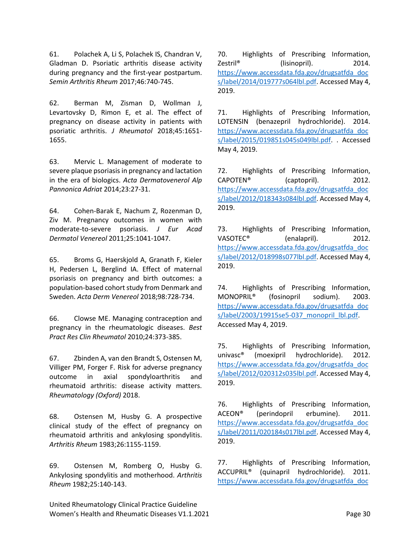<span id="page-29-0"></span>61. Polachek A, Li S, Polachek IS, Chandran V, Gladman D. Psoriatic arthritis disease activity during pregnancy and the first-year postpartum. *Semin Arthritis Rheum* 2017;46:740-745.

<span id="page-29-1"></span>62. Berman M, Zisman D, Wollman J, Levartovsky D, Rimon E, et al. The effect of pregnancy on disease activity in patients with psoriatic arthritis. *J Rheumatol* 2018;45:1651- 1655.

<span id="page-29-2"></span>63. Mervic L. Management of moderate to severe plaque psoriasis in pregnancy and lactation in the era of biologics. *Acta Dermatovenerol Alp Pannonica Adriat* 2014;23:27-31.

<span id="page-29-3"></span>64. Cohen-Barak E, Nachum Z, Rozenman D, Ziv M. Pregnancy outcomes in women with moderate-to-severe psoriasis. *J Eur Acad Dermatol Venereol* 2011;25:1041-1047.

<span id="page-29-4"></span>65. Broms G, Haerskjold A, Granath F, Kieler H, Pedersen L, Berglind IA. Effect of maternal psoriasis on pregnancy and birth outcomes: a population-based cohort study from Denmark and Sweden. *Acta Derm Venereol* 2018;98:728-734.

<span id="page-29-5"></span>66. Clowse ME. Managing contraception and pregnancy in the rheumatologic diseases. *Best Pract Res Clin Rheumatol* 2010;24:373-385.

<span id="page-29-6"></span>67. Zbinden A, van den Brandt S, Ostensen M, Villiger PM, Forger F. Risk for adverse pregnancy outcome in axial spondyloarthritis and rheumatoid arthritis: disease activity matters. *Rheumatology (Oxford)* 2018.

<span id="page-29-7"></span>68. Ostensen M, Husby G. A prospective clinical study of the effect of pregnancy on rheumatoid arthritis and ankylosing spondylitis. *Arthritis Rheum* 1983;26:1155-1159.

<span id="page-29-8"></span>69. Ostensen M, Romberg O, Husby G. Ankylosing spondylitis and motherhood. *Arthritis Rheum* 1982;25:140-143.

<span id="page-29-12"></span><span id="page-29-11"></span><span id="page-29-10"></span><span id="page-29-9"></span>70. Highlights of Prescribing Information, Zestril<sup>®</sup> (lisinopril). 2014. [https://www.accessdata.fda.gov/drugsatfda\\_doc](https://www.accessdata.fda.gov/drugsatfda_docs/label/2014/019777s064lbl.pdf) [s/label/2014/019777s064lbl.pdf.](https://www.accessdata.fda.gov/drugsatfda_docs/label/2014/019777s064lbl.pdf) Accessed May 4, 2019.

<span id="page-29-13"></span>71. Highlights of Prescribing Information, LOTENSIN (benazepril hydrochloride). 2014. [https://www.accessdata.fda.gov/drugsatfda\\_doc](https://www.accessdata.fda.gov/drugsatfda_docs/label/2015/019851s045s049lbl.pdf) [s/label/2015/019851s045s049lbl.pdf.](https://www.accessdata.fda.gov/drugsatfda_docs/label/2015/019851s045s049lbl.pdf) . Accessed May 4, 2019.

<span id="page-29-14"></span>72. Highlights of Prescribing Information, CAPOTEN® (captopril). 2012. [https://www.accessdata.fda.gov/drugsatfda\\_doc](https://www.accessdata.fda.gov/drugsatfda_docs/label/2012/018343s084lbl.pdf) [s/label/2012/018343s084lbl.pdf.](https://www.accessdata.fda.gov/drugsatfda_docs/label/2012/018343s084lbl.pdf) Accessed May 4, 2019.

<span id="page-29-15"></span>73. Highlights of Prescribing Information, VASOTEC<sup>®</sup> (enalapril). 2012. [https://www.accessdata.fda.gov/drugsatfda\\_doc](https://www.accessdata.fda.gov/drugsatfda_docs/label/2012/018998s077lbl.pdf) [s/label/2012/018998s077lbl.pdf.](https://www.accessdata.fda.gov/drugsatfda_docs/label/2012/018998s077lbl.pdf) Accessed May 4, 2019.

<span id="page-29-16"></span>74. Highlights of Prescribing Information, MONOPRIL® (fosinopril sodium). 2003. [https://www.accessdata.fda.gov/drugsatfda\\_doc](https://www.accessdata.fda.gov/drugsatfda_docs/label/2003/19915se5-037_monopril_lbl.pdf) [s/label/2003/19915se5-037\\_monopril\\_lbl.pdf.](https://www.accessdata.fda.gov/drugsatfda_docs/label/2003/19915se5-037_monopril_lbl.pdf) Accessed May 4, 2019.

<span id="page-29-17"></span>75. Highlights of Prescribing Information, univasc® (moexipril hydrochloride). 2012. [https://www.accessdata.fda.gov/drugsatfda\\_doc](https://www.accessdata.fda.gov/drugsatfda_docs/label/2012/020312s035lbl.pdf) [s/label/2012/020312s035lbl.pdf.](https://www.accessdata.fda.gov/drugsatfda_docs/label/2012/020312s035lbl.pdf) Accessed May 4, 2019.

76. Highlights of Prescribing Information, ACEON® (perindopril erbumine). 2011. [https://www.accessdata.fda.gov/drugsatfda\\_doc](https://www.accessdata.fda.gov/drugsatfda_docs/label/2011/020184s017lbl.pdf) [s/label/2011/020184s017lbl.pdf.](https://www.accessdata.fda.gov/drugsatfda_docs/label/2011/020184s017lbl.pdf) Accessed May 4, 2019.

77. Highlights of Prescribing Information, ACCUPRIL® (quinapril hydrochloride). 2011. [https://www.accessdata.fda.gov/drugsatfda\\_doc](https://www.accessdata.fda.gov/drugsatfda_docs/label/2012/019885s035lbl.pdf)

United Rheumatology Clinical Practice Guideline Women's Health and Rheumatic Diseases V1.1.2021 **Page 30** Page 30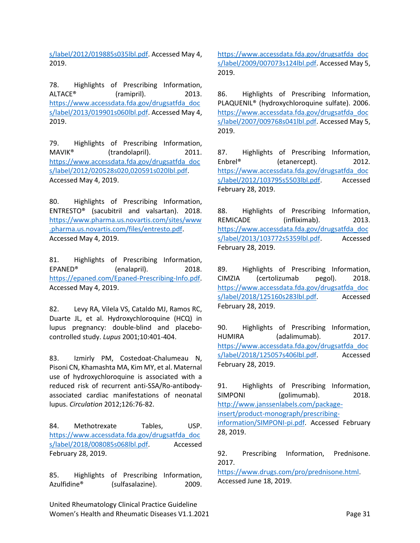<span id="page-30-14"></span><span id="page-30-13"></span>[s/label/2012/019885s035lbl.pdf.](https://www.accessdata.fda.gov/drugsatfda_docs/label/2012/019885s035lbl.pdf) Accessed May 4, 2019.

<span id="page-30-15"></span>78. Highlights of Prescribing Information, ALTACE<sup>®</sup> (ramipril). 2013. [https://www.accessdata.fda.gov/drugsatfda\\_doc](https://www.accessdata.fda.gov/drugsatfda_docs/label/2013/019901s060lbl.pdf) [s/label/2013/019901s060lbl.pdf.](https://www.accessdata.fda.gov/drugsatfda_docs/label/2013/019901s060lbl.pdf) Accessed May 4, 2019.

79. Highlights of Prescribing Information, MAVIK<sup>®</sup> (trandolapril). 2011. [https://www.accessdata.fda.gov/drugsatfda\\_doc](https://www.accessdata.fda.gov/drugsatfda_docs/label/2012/020528s020,020591s020lbl.pdf) [s/label/2012/020528s020,020591s020lbl.pdf.](https://www.accessdata.fda.gov/drugsatfda_docs/label/2012/020528s020,020591s020lbl.pdf) Accessed May 4, 2019.

<span id="page-30-0"></span>80. Highlights of Prescribing Information, ENTRESTO® (sacubitril and valsartan). 2018. [https://www.pharma.us.novartis.com/sites/www](https://www.pharma.us.novartis.com/sites/www.pharma.us.novartis.com/files/entresto.pdf) [.pharma.us.novartis.com/files/entresto.pdf.](https://www.pharma.us.novartis.com/sites/www.pharma.us.novartis.com/files/entresto.pdf) Accessed May 4, 2019.

<span id="page-30-1"></span>81. Highlights of Prescribing Information, EPANED<sup>®</sup> (enalapril). 2018. [https://epaned.com/Epaned-Prescribing-Info.pdf.](https://epaned.com/Epaned-Prescribing-Info.pdf) Accessed May 4, 2019.

<span id="page-30-4"></span><span id="page-30-2"></span>82. Levy RA, Vilela VS, Cataldo MJ, Ramos RC, Duarte JL, et al. Hydroxychloroquine (HCQ) in lupus pregnancy: double-blind and placebocontrolled study. *Lupus* 2001;10:401-404.

<span id="page-30-5"></span><span id="page-30-3"></span>83. Izmirly PM, Costedoat-Chalumeau N, Pisoni CN, Khamashta MA, Kim MY, et al. Maternal use of hydroxychloroquine is associated with a reduced risk of recurrent anti-SSA/Ro-antibodyassociated cardiac manifestations of neonatal lupus. *Circulation* 2012;126:76-82.

84. Methotrexate Tables, USP. [https://www.accessdata.fda.gov/drugsatfda\\_doc](https://www.accessdata.fda.gov/drugsatfda_docs/label/2018/008085s068lbl.pdf) [s/label/2018/008085s068lbl.pdf.](https://www.accessdata.fda.gov/drugsatfda_docs/label/2018/008085s068lbl.pdf) Accessed February 28, 2019.

85. Highlights of Prescribing Information, Azulfidine® (sulfasalazine). 2009.

United Rheumatology Clinical Practice Guideline Women's Health and Rheumatic Diseases V1.1.2021 **Page 31** Page 31

<span id="page-30-7"></span><span id="page-30-6"></span>[https://www.accessdata.fda.gov/drugsatfda\\_doc](https://www.accessdata.fda.gov/drugsatfda_docs/label/2009/007073s124lbl.pdf) [s/label/2009/007073s124lbl.pdf.](https://www.accessdata.fda.gov/drugsatfda_docs/label/2009/007073s124lbl.pdf) Accessed May 5, 2019.

<span id="page-30-8"></span>86. Highlights of Prescribing Information, PLAQUENIL® (hydroxychloroquine sulfate). 2006. [https://www.accessdata.fda.gov/drugsatfda\\_doc](https://www.accessdata.fda.gov/drugsatfda_docs/label/2007/009768s041lbl.pdf) [s/label/2007/009768s041lbl.pdf.](https://www.accessdata.fda.gov/drugsatfda_docs/label/2007/009768s041lbl.pdf) Accessed May 5, 2019.

<span id="page-30-9"></span>87. Highlights of Prescribing Information, Enbrel<sup>®</sup> (etanercept). 2012. [https://www.accessdata.fda.gov/drugsatfda\\_doc](https://www.accessdata.fda.gov/drugsatfda_docs/label/2012/103795s5503lbl.pdf) [s/label/2012/103795s5503lbl.pdf.](https://www.accessdata.fda.gov/drugsatfda_docs/label/2012/103795s5503lbl.pdf) Accessed February 28, 2019.

<span id="page-30-10"></span>88. Highlights of Prescribing Information, REMICADE (infliximab). 2013. [https://www.accessdata.fda.gov/drugsatfda\\_doc](https://www.accessdata.fda.gov/drugsatfda_docs/label/2013/103772s5359lbl.pdf) [s/label/2013/103772s5359lbl.pdf.](https://www.accessdata.fda.gov/drugsatfda_docs/label/2013/103772s5359lbl.pdf) Accessed February 28, 2019.

<span id="page-30-11"></span>89. Highlights of Prescribing Information, CIMZIA (certolizumab pegol). 2018. [https://www.accessdata.fda.gov/drugsatfda\\_doc](https://www.accessdata.fda.gov/drugsatfda_docs/label/2018/125160s283lbl.pdf) [s/label/2018/125160s283lbl.pdf.](https://www.accessdata.fda.gov/drugsatfda_docs/label/2018/125160s283lbl.pdf) Accessed February 28, 2019.

<span id="page-30-12"></span>90. Highlights of Prescribing Information, HUMIRA (adalimumab). 2017. [https://www.accessdata.fda.gov/drugsatfda\\_doc](https://www.accessdata.fda.gov/drugsatfda_docs/label/2018/125057s406lbl.pdf) [s/label/2018/125057s406lbl.pdf.](https://www.accessdata.fda.gov/drugsatfda_docs/label/2018/125057s406lbl.pdf) Accessed February 28, 2019.

91. Highlights of Prescribing Information, SIMPONI (golimumab). 2018. [http://www.janssenlabels.com/package](http://www.janssenlabels.com/package-insert/product-monograph/prescribing-information/SIMPONI-pi.pdf)[insert/product-monograph/prescribing](http://www.janssenlabels.com/package-insert/product-monograph/prescribing-information/SIMPONI-pi.pdf)[information/SIMPONI-pi.pdf.](http://www.janssenlabels.com/package-insert/product-monograph/prescribing-information/SIMPONI-pi.pdf) Accessed February 28, 2019.

92. Prescribing Information, Prednisone. 2017.

[https://www.drugs.com/pro/prednisone.html.](https://www.drugs.com/pro/prednisone.html) Accessed June 18, 2019.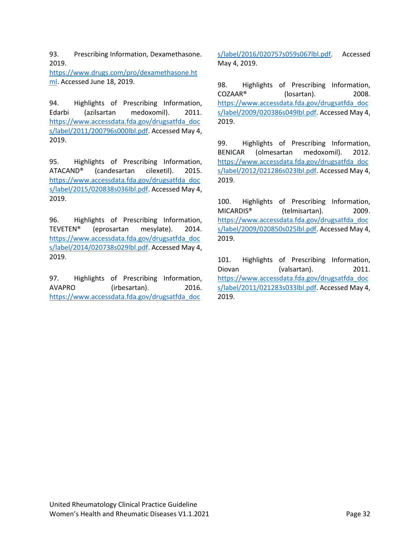<span id="page-31-2"></span><span id="page-31-1"></span><span id="page-31-0"></span>93. Prescribing Information, Dexamethasone. 2019.

[https://www.drugs.com/pro/dexamethasone.ht](https://www.drugs.com/pro/dexamethasone.html) [ml.](https://www.drugs.com/pro/dexamethasone.html) Accessed June 18, 2019.

<span id="page-31-3"></span>94. Highlights of Prescribing Information, Edarbi (azilsartan medoxomil). 2011. [https://www.accessdata.fda.gov/drugsatfda\\_doc](https://www.accessdata.fda.gov/drugsatfda_docs/label/2011/200796s000lbl.pdf) [s/label/2011/200796s000lbl.pdf.](https://www.accessdata.fda.gov/drugsatfda_docs/label/2011/200796s000lbl.pdf) Accessed May 4, 2019.

<span id="page-31-4"></span>95. Highlights of Prescribing Information, ATACAND® (candesartan cilexetil). 2015. [https://www.accessdata.fda.gov/drugsatfda\\_doc](https://www.accessdata.fda.gov/drugsatfda_docs/label/2015/020838s036lbl.pdf) [s/label/2015/020838s036lbl.pdf.](https://www.accessdata.fda.gov/drugsatfda_docs/label/2015/020838s036lbl.pdf) Accessed May 4, 2019.

96. Highlights of Prescribing Information, TEVETEN® (eprosartan mesylate). 2014. [https://www.accessdata.fda.gov/drugsatfda\\_doc](https://www.accessdata.fda.gov/drugsatfda_docs/label/2014/020738s029lbl.pdf) [s/label/2014/020738s029lbl.pdf.](https://www.accessdata.fda.gov/drugsatfda_docs/label/2014/020738s029lbl.pdf) Accessed May 4, 2019.

97. Highlights of Prescribing Information, AVAPRO (irbesartan). 2016. [https://www.accessdata.fda.gov/drugsatfda\\_doc](https://www.accessdata.fda.gov/drugsatfda_docs/label/2016/020757s059s067lbl.pdf)

<span id="page-31-6"></span><span id="page-31-5"></span>[s/label/2016/020757s059s067lbl.pdf.](https://www.accessdata.fda.gov/drugsatfda_docs/label/2016/020757s059s067lbl.pdf) Accessed May 4, 2019.

<span id="page-31-7"></span>98. Highlights of Prescribing Information, COZAAR® (losartan). 2008. [https://www.accessdata.fda.gov/drugsatfda\\_doc](https://www.accessdata.fda.gov/drugsatfda_docs/label/2009/020386s049lbl.pdf) [s/label/2009/020386s049lbl.pdf.](https://www.accessdata.fda.gov/drugsatfda_docs/label/2009/020386s049lbl.pdf) Accessed May 4, 2019.

<span id="page-31-8"></span>99. Highlights of Prescribing Information, BENICAR (olmesartan medoxomil). 2012. [https://www.accessdata.fda.gov/drugsatfda\\_doc](https://www.accessdata.fda.gov/drugsatfda_docs/label/2012/021286s023lbl.pdf) [s/label/2012/021286s023lbl.pdf.](https://www.accessdata.fda.gov/drugsatfda_docs/label/2012/021286s023lbl.pdf) Accessed May 4, 2019.

100. Highlights of Prescribing Information, MICARDIS® (telmisartan). 2009. [https://www.accessdata.fda.gov/drugsatfda\\_doc](https://www.accessdata.fda.gov/drugsatfda_docs/label/2009/020850s025lbl.pdf) [s/label/2009/020850s025lbl.pdf.](https://www.accessdata.fda.gov/drugsatfda_docs/label/2009/020850s025lbl.pdf) Accessed May 4, 2019.

101. Highlights of Prescribing Information, Diovan (valsartan). 2011. [https://www.accessdata.fda.gov/drugsatfda\\_doc](https://www.accessdata.fda.gov/drugsatfda_docs/label/2011/021283s033lbl.pdf) [s/label/2011/021283s033lbl.pdf.](https://www.accessdata.fda.gov/drugsatfda_docs/label/2011/021283s033lbl.pdf) Accessed May 4, 2019.